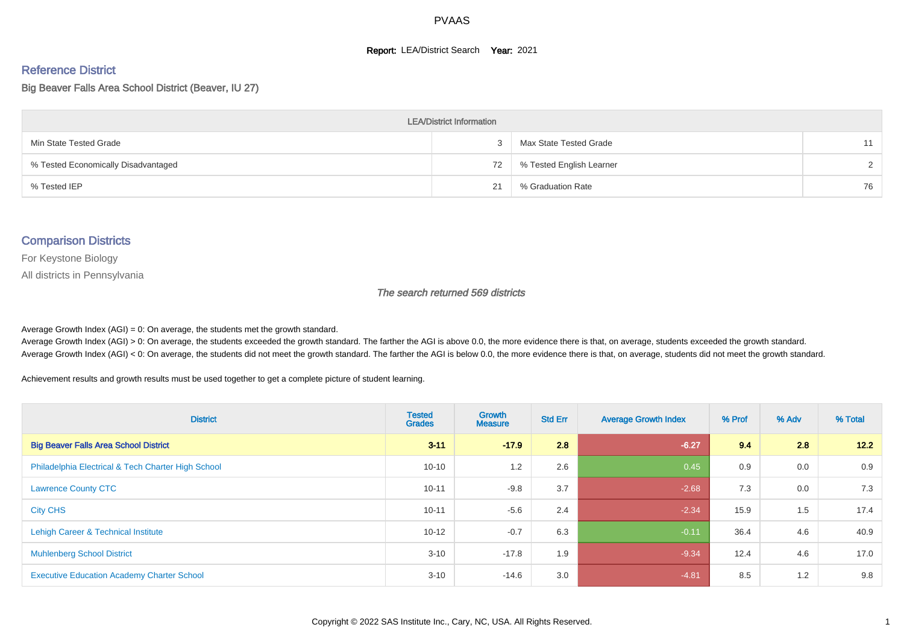#### **Report: LEA/District Search Year: 2021**

# Reference District

Big Beaver Falls Area School District (Beaver, IU 27)

| <b>LEA/District Information</b>     |    |                          |               |  |  |  |  |  |  |  |
|-------------------------------------|----|--------------------------|---------------|--|--|--|--|--|--|--|
| Min State Tested Grade              |    | Max State Tested Grade   | 11            |  |  |  |  |  |  |  |
| % Tested Economically Disadvantaged | 72 | % Tested English Learner | $\mathcal{D}$ |  |  |  |  |  |  |  |
| % Tested IEP                        | 21 | % Graduation Rate        | 76            |  |  |  |  |  |  |  |

#### Comparison Districts

For Keystone Biology

All districts in Pennsylvania

The search returned 569 districts

Average Growth Index  $(AGI) = 0$ : On average, the students met the growth standard.

Average Growth Index (AGI) > 0: On average, the students exceeded the growth standard. The farther the AGI is above 0.0, the more evidence there is that, on average, students exceeded the growth standard. Average Growth Index (AGI) < 0: On average, the students did not meet the growth standard. The farther the AGI is below 0.0, the more evidence there is that, on average, students did not meet the growth standard.

Achievement results and growth results must be used together to get a complete picture of student learning.

| <b>District</b>                                    | <b>Tested</b><br><b>Grades</b> | Growth<br><b>Measure</b> | <b>Std Err</b> | <b>Average Growth Index</b> | % Prof | % Adv | % Total |
|----------------------------------------------------|--------------------------------|--------------------------|----------------|-----------------------------|--------|-------|---------|
| <b>Big Beaver Falls Area School District</b>       | $3 - 11$                       | $-17.9$                  | 2.8            | $-6.27$                     | 9.4    | 2.8   | 12.2    |
| Philadelphia Electrical & Tech Charter High School | $10 - 10$                      | 1.2                      | 2.6            | 0.45                        | 0.9    | 0.0   | 0.9     |
| <b>Lawrence County CTC</b>                         | $10 - 11$                      | $-9.8$                   | 3.7            | $-2.68$                     | 7.3    | 0.0   | 7.3     |
| <b>City CHS</b>                                    | $10 - 11$                      | $-5.6$                   | 2.4            | $-2.34$                     | 15.9   | 1.5   | 17.4    |
| Lehigh Career & Technical Institute                | $10 - 12$                      | $-0.7$                   | 6.3            | $-0.11$                     | 36.4   | 4.6   | 40.9    |
| <b>Muhlenberg School District</b>                  | $3 - 10$                       | $-17.8$                  | 1.9            | $-9.34$                     | 12.4   | 4.6   | 17.0    |
| <b>Executive Education Academy Charter School</b>  | $3 - 10$                       | $-14.6$                  | 3.0            | $-4.81$                     | 8.5    | 1.2   | 9.8     |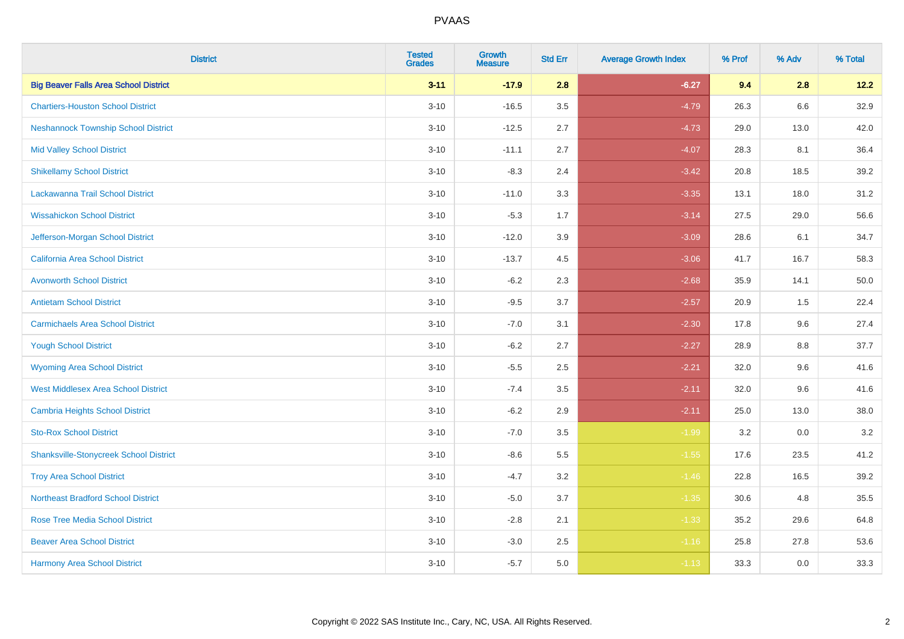| <b>District</b>                               | <b>Tested</b><br><b>Grades</b> | <b>Growth</b><br><b>Measure</b> | <b>Std Err</b> | <b>Average Growth Index</b> | % Prof | % Adv   | % Total |
|-----------------------------------------------|--------------------------------|---------------------------------|----------------|-----------------------------|--------|---------|---------|
| <b>Big Beaver Falls Area School District</b>  | $3 - 11$                       | $-17.9$                         | 2.8            | $-6.27$                     | 9.4    | 2.8     | 12.2    |
| <b>Chartiers-Houston School District</b>      | $3 - 10$                       | $-16.5$                         | 3.5            | $-4.79$                     | 26.3   | $6.6\,$ | 32.9    |
| <b>Neshannock Township School District</b>    | $3 - 10$                       | $-12.5$                         | 2.7            | $-4.73$                     | 29.0   | 13.0    | 42.0    |
| <b>Mid Valley School District</b>             | $3 - 10$                       | $-11.1$                         | 2.7            | $-4.07$                     | 28.3   | 8.1     | 36.4    |
| <b>Shikellamy School District</b>             | $3 - 10$                       | $-8.3$                          | 2.4            | $-3.42$                     | 20.8   | 18.5    | 39.2    |
| Lackawanna Trail School District              | $3 - 10$                       | $-11.0$                         | 3.3            | $-3.35$                     | 13.1   | 18.0    | 31.2    |
| <b>Wissahickon School District</b>            | $3 - 10$                       | $-5.3$                          | 1.7            | $-3.14$                     | 27.5   | 29.0    | 56.6    |
| Jefferson-Morgan School District              | $3 - 10$                       | $-12.0$                         | 3.9            | $-3.09$                     | 28.6   | 6.1     | 34.7    |
| California Area School District               | $3 - 10$                       | $-13.7$                         | 4.5            | $-3.06$                     | 41.7   | 16.7    | 58.3    |
| <b>Avonworth School District</b>              | $3 - 10$                       | $-6.2$                          | 2.3            | $-2.68$                     | 35.9   | 14.1    | 50.0    |
| <b>Antietam School District</b>               | $3 - 10$                       | $-9.5$                          | 3.7            | $-2.57$                     | 20.9   | 1.5     | 22.4    |
| <b>Carmichaels Area School District</b>       | $3 - 10$                       | $-7.0$                          | 3.1            | $-2.30$                     | 17.8   | 9.6     | 27.4    |
| <b>Yough School District</b>                  | $3 - 10$                       | $-6.2$                          | 2.7            | $-2.27$                     | 28.9   | $8.8\,$ | 37.7    |
| <b>Wyoming Area School District</b>           | $3 - 10$                       | $-5.5$                          | 2.5            | $-2.21$                     | 32.0   | 9.6     | 41.6    |
| <b>West Middlesex Area School District</b>    | $3 - 10$                       | $-7.4$                          | 3.5            | $-2.11$                     | 32.0   | 9.6     | 41.6    |
| <b>Cambria Heights School District</b>        | $3 - 10$                       | $-6.2$                          | 2.9            | $-2.11$                     | 25.0   | 13.0    | 38.0    |
| <b>Sto-Rox School District</b>                | $3 - 10$                       | $-7.0$                          | 3.5            | $-1.99$                     | 3.2    | 0.0     | 3.2     |
| <b>Shanksville-Stonycreek School District</b> | $3 - 10$                       | $-8.6$                          | 5.5            | $-1.55$                     | 17.6   | 23.5    | 41.2    |
| <b>Troy Area School District</b>              | $3 - 10$                       | $-4.7$                          | 3.2            | $-1.46$                     | 22.8   | 16.5    | 39.2    |
| <b>Northeast Bradford School District</b>     | $3 - 10$                       | $-5.0$                          | 3.7            | $-1.35$                     | 30.6   | 4.8     | 35.5    |
| <b>Rose Tree Media School District</b>        | $3 - 10$                       | $-2.8$                          | 2.1            | $-1.33$                     | 35.2   | 29.6    | 64.8    |
| <b>Beaver Area School District</b>            | $3 - 10$                       | $-3.0$                          | 2.5            | $-1.16$                     | 25.8   | 27.8    | 53.6    |
| <b>Harmony Area School District</b>           | $3 - 10$                       | $-5.7$                          | 5.0            | $-1.13$                     | 33.3   | 0.0     | 33.3    |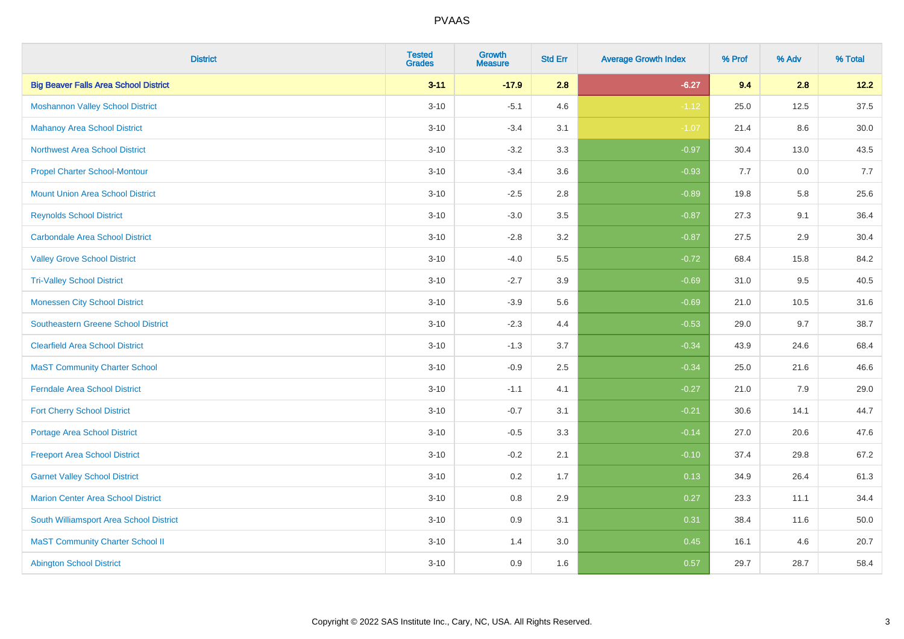| <b>District</b>                              | <b>Tested</b><br><b>Grades</b> | <b>Growth</b><br><b>Measure</b> | <b>Std Err</b> | <b>Average Growth Index</b> | % Prof | % Adv | % Total |
|----------------------------------------------|--------------------------------|---------------------------------|----------------|-----------------------------|--------|-------|---------|
| <b>Big Beaver Falls Area School District</b> | $3 - 11$                       | $-17.9$                         | 2.8            | $-6.27$                     | 9.4    | 2.8   | 12.2    |
| <b>Moshannon Valley School District</b>      | $3 - 10$                       | $-5.1$                          | 4.6            | $-1.12$                     | 25.0   | 12.5  | 37.5    |
| <b>Mahanoy Area School District</b>          | $3 - 10$                       | $-3.4$                          | 3.1            | $-1.07$                     | 21.4   | 8.6   | 30.0    |
| <b>Northwest Area School District</b>        | $3 - 10$                       | $-3.2$                          | 3.3            | $-0.97$                     | 30.4   | 13.0  | 43.5    |
| <b>Propel Charter School-Montour</b>         | $3 - 10$                       | $-3.4$                          | 3.6            | $-0.93$                     | 7.7    | 0.0   | 7.7     |
| <b>Mount Union Area School District</b>      | $3 - 10$                       | $-2.5$                          | 2.8            | $-0.89$                     | 19.8   | 5.8   | 25.6    |
| <b>Reynolds School District</b>              | $3 - 10$                       | $-3.0$                          | 3.5            | $-0.87$                     | 27.3   | 9.1   | 36.4    |
| <b>Carbondale Area School District</b>       | $3 - 10$                       | $-2.8$                          | 3.2            | $-0.87$                     | 27.5   | 2.9   | 30.4    |
| <b>Valley Grove School District</b>          | $3 - 10$                       | $-4.0$                          | 5.5            | $-0.72$                     | 68.4   | 15.8  | 84.2    |
| <b>Tri-Valley School District</b>            | $3 - 10$                       | $-2.7$                          | 3.9            | $-0.69$                     | 31.0   | 9.5   | 40.5    |
| <b>Monessen City School District</b>         | $3 - 10$                       | $-3.9$                          | 5.6            | $-0.69$                     | 21.0   | 10.5  | 31.6    |
| <b>Southeastern Greene School District</b>   | $3 - 10$                       | $-2.3$                          | 4.4            | $-0.53$                     | 29.0   | 9.7   | 38.7    |
| <b>Clearfield Area School District</b>       | $3 - 10$                       | $-1.3$                          | 3.7            | $-0.34$                     | 43.9   | 24.6  | 68.4    |
| <b>MaST Community Charter School</b>         | $3 - 10$                       | $-0.9$                          | 2.5            | $-0.34$                     | 25.0   | 21.6  | 46.6    |
| <b>Ferndale Area School District</b>         | $3 - 10$                       | $-1.1$                          | 4.1            | $-0.27$                     | 21.0   | 7.9   | 29.0    |
| <b>Fort Cherry School District</b>           | $3 - 10$                       | $-0.7$                          | 3.1            | $-0.21$                     | 30.6   | 14.1  | 44.7    |
| <b>Portage Area School District</b>          | $3 - 10$                       | $-0.5$                          | 3.3            | $-0.14$                     | 27.0   | 20.6  | 47.6    |
| <b>Freeport Area School District</b>         | $3 - 10$                       | $-0.2$                          | 2.1            | $-0.10$                     | 37.4   | 29.8  | 67.2    |
| <b>Garnet Valley School District</b>         | $3 - 10$                       | 0.2                             | 1.7            | 0.13                        | 34.9   | 26.4  | 61.3    |
| <b>Marion Center Area School District</b>    | $3 - 10$                       | $0.8\,$                         | 2.9            | 0.27                        | 23.3   | 11.1  | 34.4    |
| South Williamsport Area School District      | $3 - 10$                       | 0.9                             | 3.1            | 0.31                        | 38.4   | 11.6  | 50.0    |
| <b>MaST Community Charter School II</b>      | $3 - 10$                       | 1.4                             | 3.0            | 0.45                        | 16.1   | 4.6   | 20.7    |
| <b>Abington School District</b>              | $3 - 10$                       | 0.9                             | 1.6            | 0.57                        | 29.7   | 28.7  | 58.4    |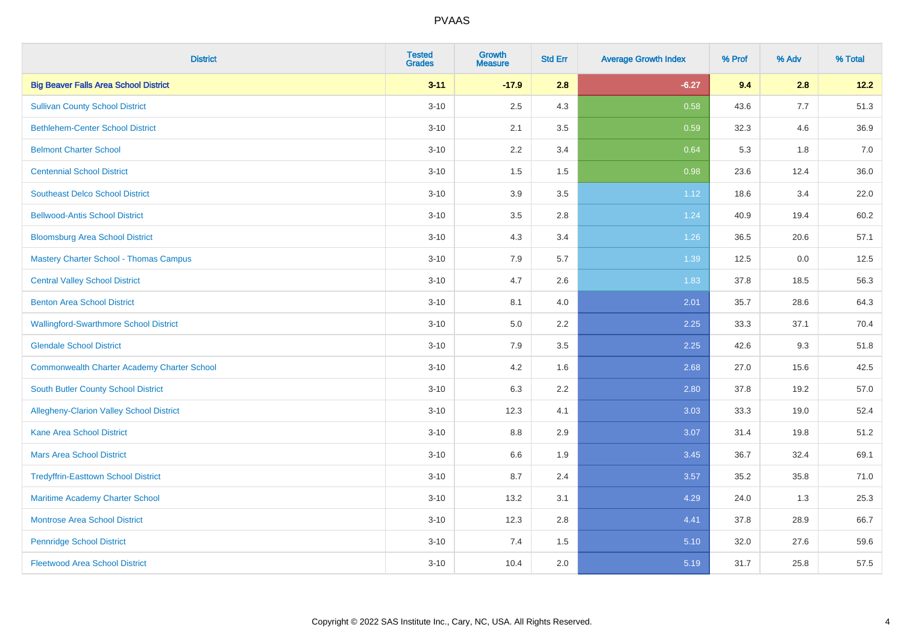| <b>District</b>                                    | <b>Tested</b><br><b>Grades</b> | <b>Growth</b><br><b>Measure</b> | <b>Std Err</b> | <b>Average Growth Index</b> | % Prof | % Adv | % Total |
|----------------------------------------------------|--------------------------------|---------------------------------|----------------|-----------------------------|--------|-------|---------|
| <b>Big Beaver Falls Area School District</b>       | $3 - 11$                       | $-17.9$                         | 2.8            | $-6.27$                     | 9.4    | 2.8   | 12.2    |
| <b>Sullivan County School District</b>             | $3 - 10$                       | 2.5                             | 4.3            | 0.58                        | 43.6   | 7.7   | 51.3    |
| <b>Bethlehem-Center School District</b>            | $3 - 10$                       | 2.1                             | 3.5            | 0.59                        | 32.3   | 4.6   | 36.9    |
| <b>Belmont Charter School</b>                      | $3 - 10$                       | 2.2                             | 3.4            | 0.64                        | 5.3    | 1.8   | 7.0     |
| <b>Centennial School District</b>                  | $3 - 10$                       | 1.5                             | 1.5            | 0.98                        | 23.6   | 12.4  | 36.0    |
| <b>Southeast Delco School District</b>             | $3 - 10$                       | 3.9                             | 3.5            | 1.12                        | 18.6   | 3.4   | 22.0    |
| <b>Bellwood-Antis School District</b>              | $3 - 10$                       | 3.5                             | 2.8            | 1.24                        | 40.9   | 19.4  | 60.2    |
| <b>Bloomsburg Area School District</b>             | $3 - 10$                       | 4.3                             | 3.4            | 1.26                        | 36.5   | 20.6  | 57.1    |
| <b>Mastery Charter School - Thomas Campus</b>      | $3 - 10$                       | 7.9                             | 5.7            | 1.39                        | 12.5   | 0.0   | 12.5    |
| <b>Central Valley School District</b>              | $3 - 10$                       | 4.7                             | 2.6            | 1.83                        | 37.8   | 18.5  | 56.3    |
| <b>Benton Area School District</b>                 | $3 - 10$                       | 8.1                             | 4.0            | 2.01                        | 35.7   | 28.6  | 64.3    |
| <b>Wallingford-Swarthmore School District</b>      | $3 - 10$                       | 5.0                             | 2.2            | 2.25                        | 33.3   | 37.1  | 70.4    |
| <b>Glendale School District</b>                    | $3 - 10$                       | 7.9                             | 3.5            | 2.25                        | 42.6   | 9.3   | 51.8    |
| <b>Commonwealth Charter Academy Charter School</b> | $3 - 10$                       | 4.2                             | 1.6            | 2.68                        | 27.0   | 15.6  | 42.5    |
| South Butler County School District                | $3 - 10$                       | 6.3                             | 2.2            | 2.80                        | 37.8   | 19.2  | 57.0    |
| Allegheny-Clarion Valley School District           | $3 - 10$                       | 12.3                            | 4.1            | 3.03                        | 33.3   | 19.0  | 52.4    |
| <b>Kane Area School District</b>                   | $3 - 10$                       | 8.8                             | 2.9            | 3.07                        | 31.4   | 19.8  | 51.2    |
| <b>Mars Area School District</b>                   | $3 - 10$                       | 6.6                             | 1.9            | 3.45                        | 36.7   | 32.4  | 69.1    |
| <b>Tredyffrin-Easttown School District</b>         | $3 - 10$                       | 8.7                             | 2.4            | 3.57                        | 35.2   | 35.8  | 71.0    |
| Maritime Academy Charter School                    | $3 - 10$                       | 13.2                            | 3.1            | 4.29                        | 24.0   | 1.3   | 25.3    |
| <b>Montrose Area School District</b>               | $3 - 10$                       | 12.3                            | 2.8            | 4.41                        | 37.8   | 28.9  | 66.7    |
| <b>Pennridge School District</b>                   | $3 - 10$                       | 7.4                             | 1.5            | 5.10                        | 32.0   | 27.6  | 59.6    |
| <b>Fleetwood Area School District</b>              | $3 - 10$                       | 10.4                            | 2.0            | 5.19                        | 31.7   | 25.8  | 57.5    |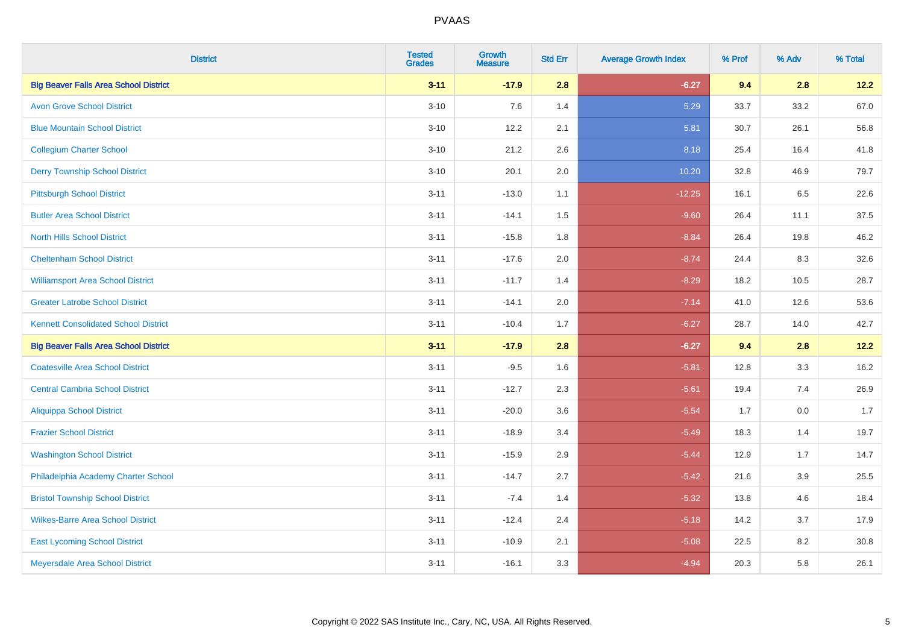| <b>District</b>                              | <b>Tested</b><br><b>Grades</b> | <b>Growth</b><br><b>Measure</b> | <b>Std Err</b> | <b>Average Growth Index</b> | % Prof | % Adv | % Total |
|----------------------------------------------|--------------------------------|---------------------------------|----------------|-----------------------------|--------|-------|---------|
| <b>Big Beaver Falls Area School District</b> | $3 - 11$                       | $-17.9$                         | 2.8            | $-6.27$                     | 9.4    | 2.8   | 12.2    |
| <b>Avon Grove School District</b>            | $3 - 10$                       | 7.6                             | 1.4            | 5.29                        | 33.7   | 33.2  | 67.0    |
| <b>Blue Mountain School District</b>         | $3 - 10$                       | 12.2                            | 2.1            | 5.81                        | 30.7   | 26.1  | 56.8    |
| <b>Collegium Charter School</b>              | $3 - 10$                       | 21.2                            | 2.6            | 8.18                        | 25.4   | 16.4  | 41.8    |
| <b>Derry Township School District</b>        | $3 - 10$                       | 20.1                            | 2.0            | 10.20                       | 32.8   | 46.9  | 79.7    |
| <b>Pittsburgh School District</b>            | $3 - 11$                       | $-13.0$                         | 1.1            | $-12.25$                    | 16.1   | 6.5   | 22.6    |
| <b>Butler Area School District</b>           | $3 - 11$                       | $-14.1$                         | 1.5            | $-9.60$                     | 26.4   | 11.1  | 37.5    |
| <b>North Hills School District</b>           | $3 - 11$                       | $-15.8$                         | 1.8            | $-8.84$                     | 26.4   | 19.8  | 46.2    |
| <b>Cheltenham School District</b>            | $3 - 11$                       | $-17.6$                         | 2.0            | $-8.74$                     | 24.4   | 8.3   | 32.6    |
| <b>Williamsport Area School District</b>     | $3 - 11$                       | $-11.7$                         | 1.4            | $-8.29$                     | 18.2   | 10.5  | 28.7    |
| <b>Greater Latrobe School District</b>       | $3 - 11$                       | $-14.1$                         | 2.0            | $-7.14$                     | 41.0   | 12.6  | 53.6    |
| <b>Kennett Consolidated School District</b>  | $3 - 11$                       | $-10.4$                         | 1.7            | $-6.27$                     | 28.7   | 14.0  | 42.7    |
| <b>Big Beaver Falls Area School District</b> | $3 - 11$                       | $-17.9$                         | 2.8            | $-6.27$                     | 9.4    | 2.8   | 12.2    |
| <b>Coatesville Area School District</b>      | $3 - 11$                       | $-9.5$                          | 1.6            | $-5.81$                     | 12.8   | 3.3   | 16.2    |
| <b>Central Cambria School District</b>       | $3 - 11$                       | $-12.7$                         | 2.3            | $-5.61$                     | 19.4   | 7.4   | 26.9    |
| <b>Aliquippa School District</b>             | $3 - 11$                       | $-20.0$                         | 3.6            | $-5.54$                     | 1.7    | 0.0   | 1.7     |
| <b>Frazier School District</b>               | $3 - 11$                       | $-18.9$                         | 3.4            | $-5.49$                     | 18.3   | 1.4   | 19.7    |
| <b>Washington School District</b>            | $3 - 11$                       | $-15.9$                         | 2.9            | $-5.44$                     | 12.9   | 1.7   | 14.7    |
| Philadelphia Academy Charter School          | $3 - 11$                       | $-14.7$                         | 2.7            | $-5.42$                     | 21.6   | 3.9   | 25.5    |
| <b>Bristol Township School District</b>      | $3 - 11$                       | $-7.4$                          | 1.4            | $-5.32$                     | 13.8   | 4.6   | 18.4    |
| <b>Wilkes-Barre Area School District</b>     | $3 - 11$                       | $-12.4$                         | 2.4            | $-5.18$                     | 14.2   | 3.7   | 17.9    |
| <b>East Lycoming School District</b>         | $3 - 11$                       | $-10.9$                         | 2.1            | $-5.08$                     | 22.5   | 8.2   | 30.8    |
| Meyersdale Area School District              | $3 - 11$                       | $-16.1$                         | 3.3            | $-4.94$                     | 20.3   | 5.8   | 26.1    |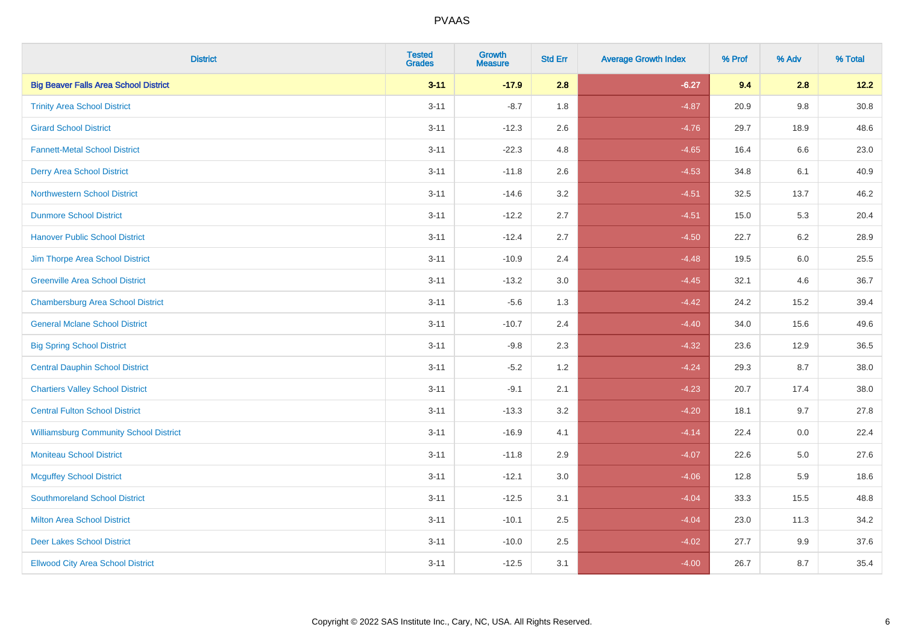| <b>District</b>                               | <b>Tested</b><br><b>Grades</b> | <b>Growth</b><br><b>Measure</b> | <b>Std Err</b> | <b>Average Growth Index</b> | % Prof | % Adv   | % Total  |
|-----------------------------------------------|--------------------------------|---------------------------------|----------------|-----------------------------|--------|---------|----------|
| <b>Big Beaver Falls Area School District</b>  | $3 - 11$                       | $-17.9$                         | 2.8            | $-6.27$                     | 9.4    | 2.8     | 12.2     |
| <b>Trinity Area School District</b>           | $3 - 11$                       | $-8.7$                          | 1.8            | $-4.87$                     | 20.9   | $9.8\,$ | $30.8\,$ |
| <b>Girard School District</b>                 | $3 - 11$                       | $-12.3$                         | 2.6            | $-4.76$                     | 29.7   | 18.9    | 48.6     |
| <b>Fannett-Metal School District</b>          | $3 - 11$                       | $-22.3$                         | 4.8            | $-4.65$                     | 16.4   | 6.6     | 23.0     |
| <b>Derry Area School District</b>             | $3 - 11$                       | $-11.8$                         | 2.6            | $-4.53$                     | 34.8   | 6.1     | 40.9     |
| <b>Northwestern School District</b>           | $3 - 11$                       | $-14.6$                         | 3.2            | $-4.51$                     | 32.5   | 13.7    | 46.2     |
| <b>Dunmore School District</b>                | $3 - 11$                       | $-12.2$                         | 2.7            | $-4.51$                     | 15.0   | 5.3     | 20.4     |
| <b>Hanover Public School District</b>         | $3 - 11$                       | $-12.4$                         | 2.7            | $-4.50$                     | 22.7   | 6.2     | 28.9     |
| Jim Thorpe Area School District               | $3 - 11$                       | $-10.9$                         | 2.4            | $-4.48$                     | 19.5   | 6.0     | 25.5     |
| <b>Greenville Area School District</b>        | $3 - 11$                       | $-13.2$                         | 3.0            | $-4.45$                     | 32.1   | 4.6     | 36.7     |
| <b>Chambersburg Area School District</b>      | $3 - 11$                       | $-5.6$                          | 1.3            | $-4.42$                     | 24.2   | 15.2    | 39.4     |
| <b>General Mclane School District</b>         | $3 - 11$                       | $-10.7$                         | 2.4            | $-4.40$                     | 34.0   | 15.6    | 49.6     |
| <b>Big Spring School District</b>             | $3 - 11$                       | $-9.8$                          | 2.3            | $-4.32$                     | 23.6   | 12.9    | 36.5     |
| <b>Central Dauphin School District</b>        | $3 - 11$                       | $-5.2$                          | 1.2            | $-4.24$                     | 29.3   | 8.7     | 38.0     |
| <b>Chartiers Valley School District</b>       | $3 - 11$                       | $-9.1$                          | 2.1            | $-4.23$                     | 20.7   | 17.4    | 38.0     |
| <b>Central Fulton School District</b>         | $3 - 11$                       | $-13.3$                         | 3.2            | $-4.20$                     | 18.1   | 9.7     | 27.8     |
| <b>Williamsburg Community School District</b> | $3 - 11$                       | $-16.9$                         | 4.1            | $-4.14$                     | 22.4   | 0.0     | 22.4     |
| <b>Moniteau School District</b>               | $3 - 11$                       | $-11.8$                         | 2.9            | $-4.07$                     | 22.6   | 5.0     | 27.6     |
| <b>Mcguffey School District</b>               | $3 - 11$                       | $-12.1$                         | 3.0            | $-4.06$                     | 12.8   | 5.9     | 18.6     |
| <b>Southmoreland School District</b>          | $3 - 11$                       | $-12.5$                         | 3.1            | $-4.04$                     | 33.3   | 15.5    | 48.8     |
| <b>Milton Area School District</b>            | $3 - 11$                       | $-10.1$                         | 2.5            | $-4.04$                     | 23.0   | 11.3    | 34.2     |
| <b>Deer Lakes School District</b>             | $3 - 11$                       | $-10.0$                         | 2.5            | $-4.02$                     | 27.7   | 9.9     | 37.6     |
| <b>Ellwood City Area School District</b>      | $3 - 11$                       | $-12.5$                         | 3.1            | $-4.00$                     | 26.7   | 8.7     | 35.4     |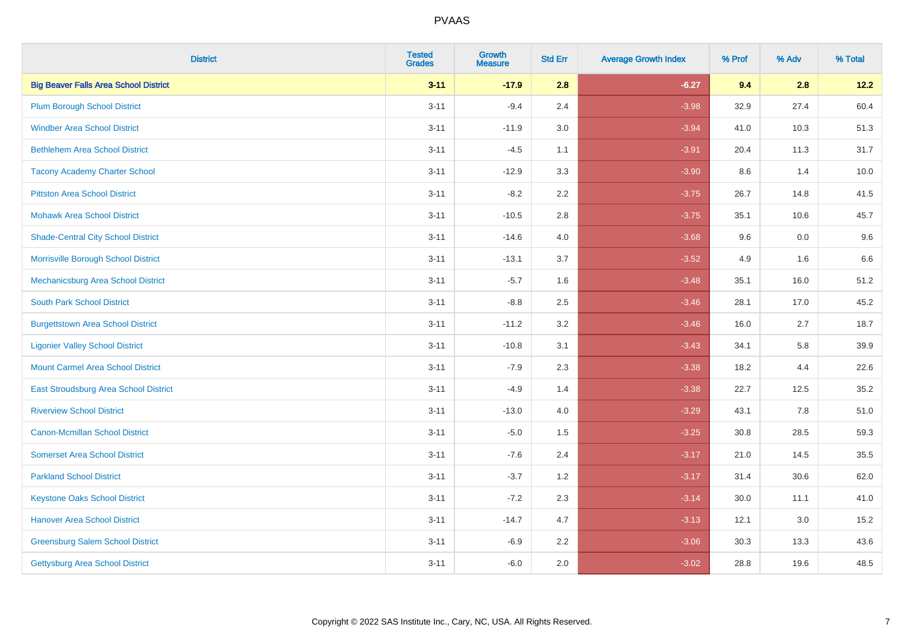| <b>District</b>                              | <b>Tested</b><br><b>Grades</b> | <b>Growth</b><br><b>Measure</b> | <b>Std Err</b> | <b>Average Growth Index</b> | % Prof | % Adv | % Total |
|----------------------------------------------|--------------------------------|---------------------------------|----------------|-----------------------------|--------|-------|---------|
| <b>Big Beaver Falls Area School District</b> | $3 - 11$                       | $-17.9$                         | 2.8            | $-6.27$                     | 9.4    | 2.8   | 12.2    |
| <b>Plum Borough School District</b>          | $3 - 11$                       | $-9.4$                          | 2.4            | $-3.98$                     | 32.9   | 27.4  | 60.4    |
| <b>Windber Area School District</b>          | $3 - 11$                       | $-11.9$                         | 3.0            | $-3.94$                     | 41.0   | 10.3  | 51.3    |
| <b>Bethlehem Area School District</b>        | $3 - 11$                       | $-4.5$                          | 1.1            | $-3.91$                     | 20.4   | 11.3  | 31.7    |
| <b>Tacony Academy Charter School</b>         | $3 - 11$                       | $-12.9$                         | 3.3            | $-3.90$                     | 8.6    | 1.4   | 10.0    |
| <b>Pittston Area School District</b>         | $3 - 11$                       | $-8.2$                          | 2.2            | $-3.75$                     | 26.7   | 14.8  | 41.5    |
| <b>Mohawk Area School District</b>           | $3 - 11$                       | $-10.5$                         | 2.8            | $-3.75$                     | 35.1   | 10.6  | 45.7    |
| <b>Shade-Central City School District</b>    | $3 - 11$                       | $-14.6$                         | 4.0            | $-3.68$                     | 9.6    | 0.0   | 9.6     |
| Morrisville Borough School District          | $3 - 11$                       | $-13.1$                         | 3.7            | $-3.52$                     | 4.9    | 1.6   | 6.6     |
| Mechanicsburg Area School District           | $3 - 11$                       | $-5.7$                          | 1.6            | $-3.48$                     | 35.1   | 16.0  | 51.2    |
| <b>South Park School District</b>            | $3 - 11$                       | $-8.8$                          | 2.5            | $-3.46$                     | 28.1   | 17.0  | 45.2    |
| <b>Burgettstown Area School District</b>     | $3 - 11$                       | $-11.2$                         | 3.2            | $-3.46$                     | 16.0   | 2.7   | 18.7    |
| <b>Ligonier Valley School District</b>       | $3 - 11$                       | $-10.8$                         | 3.1            | $-3.43$                     | 34.1   | 5.8   | 39.9    |
| <b>Mount Carmel Area School District</b>     | $3 - 11$                       | $-7.9$                          | 2.3            | $-3.38$                     | 18.2   | 4.4   | 22.6    |
| East Stroudsburg Area School District        | $3 - 11$                       | $-4.9$                          | 1.4            | $-3.38$                     | 22.7   | 12.5  | 35.2    |
| <b>Riverview School District</b>             | $3 - 11$                       | $-13.0$                         | 4.0            | $-3.29$                     | 43.1   | 7.8   | 51.0    |
| <b>Canon-Mcmillan School District</b>        | $3 - 11$                       | $-5.0$                          | 1.5            | $-3.25$                     | 30.8   | 28.5  | 59.3    |
| <b>Somerset Area School District</b>         | $3 - 11$                       | $-7.6$                          | 2.4            | $-3.17$                     | 21.0   | 14.5  | 35.5    |
| <b>Parkland School District</b>              | $3 - 11$                       | $-3.7$                          | 1.2            | $-3.17$                     | 31.4   | 30.6  | 62.0    |
| <b>Keystone Oaks School District</b>         | $3 - 11$                       | $-7.2$                          | 2.3            | $-3.14$                     | 30.0   | 11.1  | 41.0    |
| <b>Hanover Area School District</b>          | $3 - 11$                       | $-14.7$                         | 4.7            | $-3.13$                     | 12.1   | 3.0   | 15.2    |
| <b>Greensburg Salem School District</b>      | $3 - 11$                       | $-6.9$                          | 2.2            | $-3.06$                     | 30.3   | 13.3  | 43.6    |
| Gettysburg Area School District              | $3 - 11$                       | $-6.0$                          | 2.0            | $-3.02$                     | 28.8   | 19.6  | 48.5    |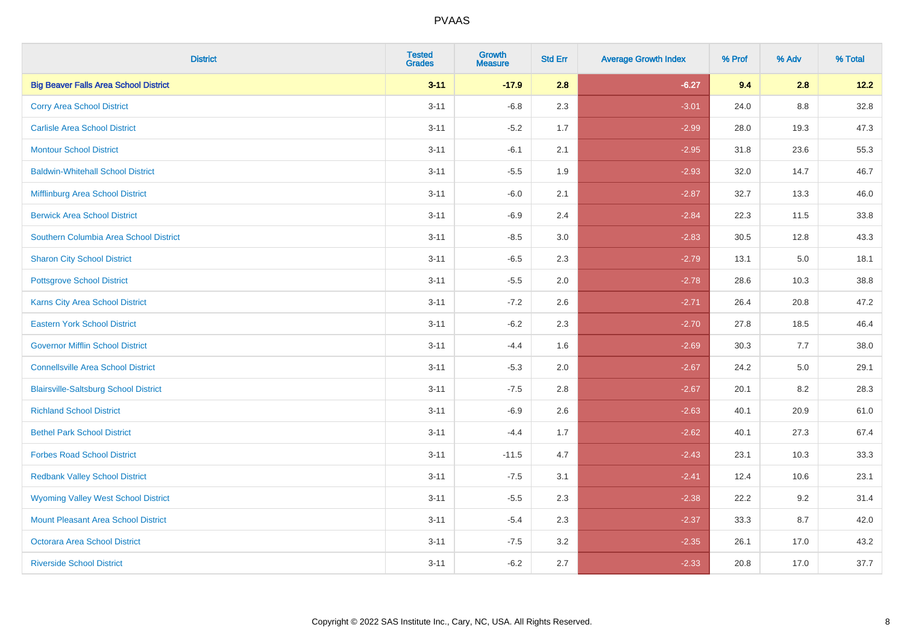| <b>District</b>                              | <b>Tested</b><br><b>Grades</b> | <b>Growth</b><br><b>Measure</b> | <b>Std Err</b> | <b>Average Growth Index</b> | % Prof | % Adv   | % Total |
|----------------------------------------------|--------------------------------|---------------------------------|----------------|-----------------------------|--------|---------|---------|
| <b>Big Beaver Falls Area School District</b> | $3 - 11$                       | $-17.9$                         | 2.8            | $-6.27$                     | 9.4    | 2.8     | 12.2    |
| <b>Corry Area School District</b>            | $3 - 11$                       | $-6.8$                          | 2.3            | $-3.01$                     | 24.0   | 8.8     | 32.8    |
| <b>Carlisle Area School District</b>         | $3 - 11$                       | $-5.2$                          | 1.7            | $-2.99$                     | 28.0   | 19.3    | 47.3    |
| <b>Montour School District</b>               | $3 - 11$                       | $-6.1$                          | 2.1            | $-2.95$                     | 31.8   | 23.6    | 55.3    |
| <b>Baldwin-Whitehall School District</b>     | $3 - 11$                       | $-5.5$                          | 1.9            | $-2.93$                     | 32.0   | 14.7    | 46.7    |
| Mifflinburg Area School District             | $3 - 11$                       | $-6.0$                          | 2.1            | $-2.87$                     | 32.7   | 13.3    | 46.0    |
| <b>Berwick Area School District</b>          | $3 - 11$                       | $-6.9$                          | 2.4            | $-2.84$                     | 22.3   | 11.5    | 33.8    |
| Southern Columbia Area School District       | $3 - 11$                       | $-8.5$                          | 3.0            | $-2.83$                     | 30.5   | 12.8    | 43.3    |
| <b>Sharon City School District</b>           | $3 - 11$                       | $-6.5$                          | 2.3            | $-2.79$                     | 13.1   | 5.0     | 18.1    |
| <b>Pottsgrove School District</b>            | $3 - 11$                       | $-5.5$                          | 2.0            | $-2.78$                     | 28.6   | 10.3    | 38.8    |
| <b>Karns City Area School District</b>       | $3 - 11$                       | $-7.2$                          | 2.6            | $-2.71$                     | 26.4   | 20.8    | 47.2    |
| <b>Eastern York School District</b>          | $3 - 11$                       | $-6.2$                          | 2.3            | $-2.70$                     | 27.8   | 18.5    | 46.4    |
| <b>Governor Mifflin School District</b>      | $3 - 11$                       | $-4.4$                          | 1.6            | $-2.69$                     | 30.3   | 7.7     | 38.0    |
| <b>Connellsville Area School District</b>    | $3 - 11$                       | $-5.3$                          | 2.0            | $-2.67$                     | 24.2   | $5.0\,$ | 29.1    |
| <b>Blairsville-Saltsburg School District</b> | $3 - 11$                       | $-7.5$                          | 2.8            | $-2.67$                     | 20.1   | 8.2     | 28.3    |
| <b>Richland School District</b>              | $3 - 11$                       | $-6.9$                          | 2.6            | $-2.63$                     | 40.1   | 20.9    | 61.0    |
| <b>Bethel Park School District</b>           | $3 - 11$                       | $-4.4$                          | 1.7            | $-2.62$                     | 40.1   | 27.3    | 67.4    |
| <b>Forbes Road School District</b>           | $3 - 11$                       | $-11.5$                         | 4.7            | $-2.43$                     | 23.1   | 10.3    | 33.3    |
| <b>Redbank Valley School District</b>        | $3 - 11$                       | $-7.5$                          | 3.1            | $-2.41$                     | 12.4   | 10.6    | 23.1    |
| <b>Wyoming Valley West School District</b>   | $3 - 11$                       | $-5.5$                          | 2.3            | $-2.38$                     | 22.2   | 9.2     | 31.4    |
| Mount Pleasant Area School District          | $3 - 11$                       | $-5.4$                          | 2.3            | $-2.37$                     | 33.3   | 8.7     | 42.0    |
| <b>Octorara Area School District</b>         | $3 - 11$                       | $-7.5$                          | 3.2            | $-2.35$                     | 26.1   | 17.0    | 43.2    |
| <b>Riverside School District</b>             | $3 - 11$                       | $-6.2$                          | 2.7            | $-2.33$                     | 20.8   | 17.0    | 37.7    |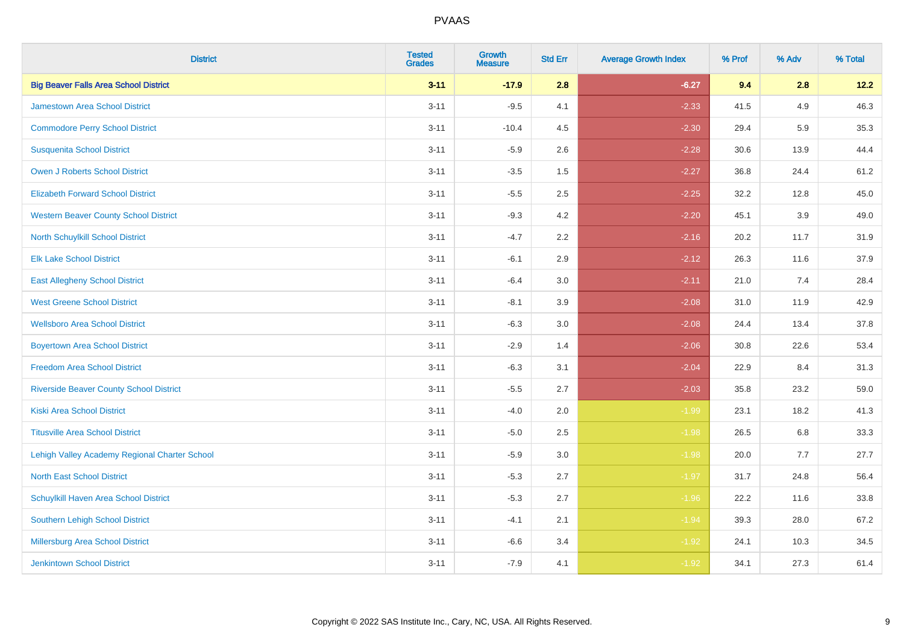| <b>District</b>                                | <b>Tested</b><br><b>Grades</b> | <b>Growth</b><br><b>Measure</b> | <b>Std Err</b> | <b>Average Growth Index</b> | % Prof | % Adv | % Total |
|------------------------------------------------|--------------------------------|---------------------------------|----------------|-----------------------------|--------|-------|---------|
| <b>Big Beaver Falls Area School District</b>   | $3 - 11$                       | $-17.9$                         | 2.8            | $-6.27$                     | 9.4    | 2.8   | 12.2    |
| <b>Jamestown Area School District</b>          | $3 - 11$                       | $-9.5$                          | 4.1            | $-2.33$                     | 41.5   | 4.9   | 46.3    |
| <b>Commodore Perry School District</b>         | $3 - 11$                       | $-10.4$                         | 4.5            | $-2.30$                     | 29.4   | 5.9   | 35.3    |
| <b>Susquenita School District</b>              | $3 - 11$                       | $-5.9$                          | 2.6            | $-2.28$                     | 30.6   | 13.9  | 44.4    |
| <b>Owen J Roberts School District</b>          | $3 - 11$                       | $-3.5$                          | 1.5            | $-2.27$                     | 36.8   | 24.4  | 61.2    |
| <b>Elizabeth Forward School District</b>       | $3 - 11$                       | $-5.5$                          | 2.5            | $-2.25$                     | 32.2   | 12.8  | 45.0    |
| <b>Western Beaver County School District</b>   | $3 - 11$                       | $-9.3$                          | 4.2            | $-2.20$                     | 45.1   | 3.9   | 49.0    |
| North Schuylkill School District               | $3 - 11$                       | $-4.7$                          | 2.2            | $-2.16$                     | 20.2   | 11.7  | 31.9    |
| <b>Elk Lake School District</b>                | $3 - 11$                       | $-6.1$                          | 2.9            | $-2.12$                     | 26.3   | 11.6  | 37.9    |
| <b>East Allegheny School District</b>          | $3 - 11$                       | $-6.4$                          | 3.0            | $-2.11$                     | 21.0   | 7.4   | 28.4    |
| <b>West Greene School District</b>             | $3 - 11$                       | $-8.1$                          | 3.9            | $-2.08$                     | 31.0   | 11.9  | 42.9    |
| <b>Wellsboro Area School District</b>          | $3 - 11$                       | $-6.3$                          | 3.0            | $-2.08$                     | 24.4   | 13.4  | 37.8    |
| <b>Boyertown Area School District</b>          | $3 - 11$                       | $-2.9$                          | 1.4            | $-2.06$                     | 30.8   | 22.6  | 53.4    |
| <b>Freedom Area School District</b>            | $3 - 11$                       | $-6.3$                          | 3.1            | $-2.04$                     | 22.9   | 8.4   | 31.3    |
| <b>Riverside Beaver County School District</b> | $3 - 11$                       | $-5.5$                          | 2.7            | $-2.03$                     | 35.8   | 23.2  | 59.0    |
| <b>Kiski Area School District</b>              | $3 - 11$                       | $-4.0$                          | 2.0            | $-1.99$                     | 23.1   | 18.2  | 41.3    |
| <b>Titusville Area School District</b>         | $3 - 11$                       | $-5.0$                          | 2.5            | $-1.98$                     | 26.5   | 6.8   | 33.3    |
| Lehigh Valley Academy Regional Charter School  | $3 - 11$                       | $-5.9$                          | 3.0            | $-1.98$                     | 20.0   | 7.7   | 27.7    |
| <b>North East School District</b>              | $3 - 11$                       | $-5.3$                          | 2.7            | $-1.97$                     | 31.7   | 24.8  | 56.4    |
| Schuylkill Haven Area School District          | $3 - 11$                       | $-5.3$                          | 2.7            | $-1.96$                     | 22.2   | 11.6  | 33.8    |
| Southern Lehigh School District                | $3 - 11$                       | $-4.1$                          | 2.1            | $-1.94$                     | 39.3   | 28.0  | 67.2    |
| Millersburg Area School District               | $3 - 11$                       | $-6.6$                          | 3.4            | $-1.92$                     | 24.1   | 10.3  | 34.5    |
| <b>Jenkintown School District</b>              | $3 - 11$                       | $-7.9$                          | 4.1            | $-1.92$                     | 34.1   | 27.3  | 61.4    |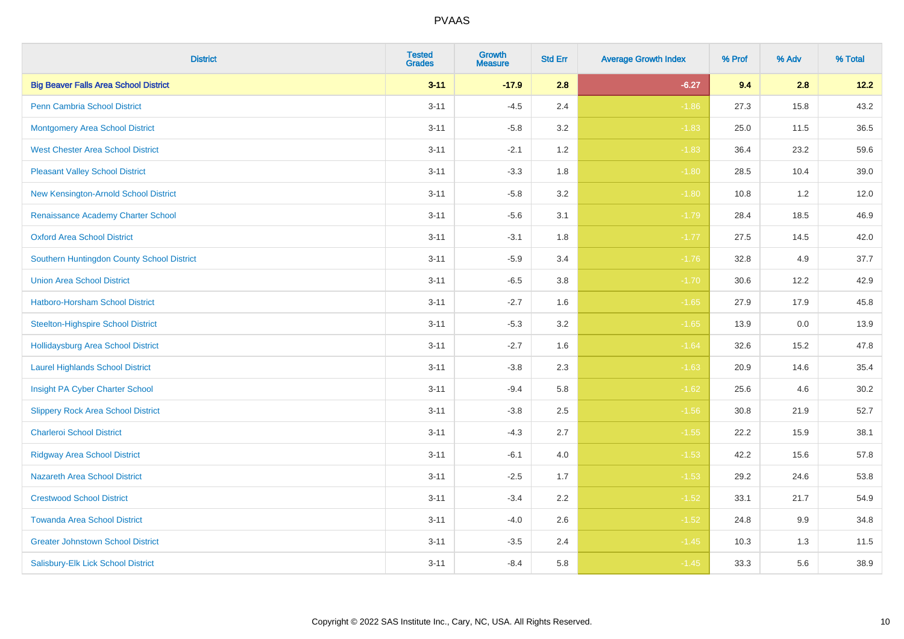| <b>District</b>                              | <b>Tested</b><br><b>Grades</b> | <b>Growth</b><br><b>Measure</b> | <b>Std Err</b> | <b>Average Growth Index</b> | % Prof | % Adv | % Total |
|----------------------------------------------|--------------------------------|---------------------------------|----------------|-----------------------------|--------|-------|---------|
| <b>Big Beaver Falls Area School District</b> | $3 - 11$                       | $-17.9$                         | 2.8            | $-6.27$                     | 9.4    | 2.8   | 12.2    |
| <b>Penn Cambria School District</b>          | $3 - 11$                       | $-4.5$                          | 2.4            | $-1.86$                     | 27.3   | 15.8  | 43.2    |
| <b>Montgomery Area School District</b>       | $3 - 11$                       | $-5.8$                          | 3.2            | $-1.83$                     | 25.0   | 11.5  | 36.5    |
| <b>West Chester Area School District</b>     | $3 - 11$                       | $-2.1$                          | 1.2            | $-1.83$                     | 36.4   | 23.2  | 59.6    |
| <b>Pleasant Valley School District</b>       | $3 - 11$                       | $-3.3$                          | 1.8            | $-1.80$                     | 28.5   | 10.4  | 39.0    |
| New Kensington-Arnold School District        | $3 - 11$                       | $-5.8$                          | 3.2            | $-1.80$                     | 10.8   | 1.2   | 12.0    |
| Renaissance Academy Charter School           | $3 - 11$                       | $-5.6$                          | 3.1            | $-1.79$                     | 28.4   | 18.5  | 46.9    |
| <b>Oxford Area School District</b>           | $3 - 11$                       | $-3.1$                          | 1.8            | $-1.77$                     | 27.5   | 14.5  | 42.0    |
| Southern Huntingdon County School District   | $3 - 11$                       | $-5.9$                          | 3.4            | $-1.76$                     | 32.8   | 4.9   | 37.7    |
| <b>Union Area School District</b>            | $3 - 11$                       | $-6.5$                          | 3.8            | $-1.70$                     | 30.6   | 12.2  | 42.9    |
| Hatboro-Horsham School District              | $3 - 11$                       | $-2.7$                          | 1.6            | $-1.65$                     | 27.9   | 17.9  | 45.8    |
| <b>Steelton-Highspire School District</b>    | $3 - 11$                       | $-5.3$                          | 3.2            | $-1.65$                     | 13.9   | 0.0   | 13.9    |
| <b>Hollidaysburg Area School District</b>    | $3 - 11$                       | $-2.7$                          | 1.6            | $-1.64$                     | 32.6   | 15.2  | 47.8    |
| <b>Laurel Highlands School District</b>      | $3 - 11$                       | $-3.8$                          | 2.3            | $-1.63$                     | 20.9   | 14.6  | 35.4    |
| Insight PA Cyber Charter School              | $3 - 11$                       | $-9.4$                          | 5.8            | $-1.62$                     | 25.6   | 4.6   | 30.2    |
| <b>Slippery Rock Area School District</b>    | $3 - 11$                       | $-3.8$                          | 2.5            | $-1.56$                     | 30.8   | 21.9  | 52.7    |
| <b>Charleroi School District</b>             | $3 - 11$                       | $-4.3$                          | 2.7            | $-1.55$                     | 22.2   | 15.9  | 38.1    |
| <b>Ridgway Area School District</b>          | $3 - 11$                       | $-6.1$                          | 4.0            | $-1.53$                     | 42.2   | 15.6  | 57.8    |
| <b>Nazareth Area School District</b>         | $3 - 11$                       | $-2.5$                          | 1.7            | $-1.53$                     | 29.2   | 24.6  | 53.8    |
| <b>Crestwood School District</b>             | $3 - 11$                       | $-3.4$                          | 2.2            | $-1.52$                     | 33.1   | 21.7  | 54.9    |
| <b>Towanda Area School District</b>          | $3 - 11$                       | $-4.0$                          | 2.6            | $-1.52$                     | 24.8   | 9.9   | 34.8    |
| <b>Greater Johnstown School District</b>     | $3 - 11$                       | $-3.5$                          | 2.4            | $-1.45$                     | 10.3   | 1.3   | 11.5    |
| Salisbury-Elk Lick School District           | $3 - 11$                       | $-8.4$                          | 5.8            | $-1.45$                     | 33.3   | 5.6   | 38.9    |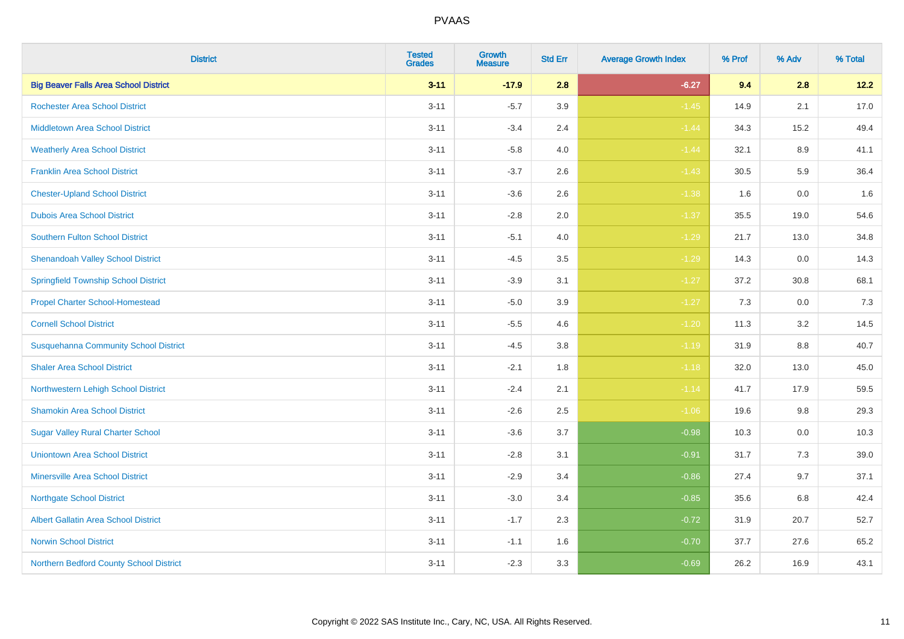| <b>District</b>                              | <b>Tested</b><br><b>Grades</b> | <b>Growth</b><br><b>Measure</b> | <b>Std Err</b> | <b>Average Growth Index</b> | % Prof | % Adv   | % Total |
|----------------------------------------------|--------------------------------|---------------------------------|----------------|-----------------------------|--------|---------|---------|
| <b>Big Beaver Falls Area School District</b> | $3 - 11$                       | $-17.9$                         | 2.8            | $-6.27$                     | 9.4    | 2.8     | 12.2    |
| <b>Rochester Area School District</b>        | $3 - 11$                       | $-5.7$                          | 3.9            | $-1.45$                     | 14.9   | 2.1     | 17.0    |
| <b>Middletown Area School District</b>       | $3 - 11$                       | $-3.4$                          | 2.4            | $-1.44$                     | 34.3   | 15.2    | 49.4    |
| <b>Weatherly Area School District</b>        | $3 - 11$                       | $-5.8$                          | 4.0            | $-1.44$                     | 32.1   | $8.9\,$ | 41.1    |
| <b>Franklin Area School District</b>         | $3 - 11$                       | $-3.7$                          | 2.6            | $-1.43$                     | 30.5   | 5.9     | 36.4    |
| <b>Chester-Upland School District</b>        | $3 - 11$                       | $-3.6$                          | 2.6            | $-1.38$                     | 1.6    | 0.0     | 1.6     |
| <b>Dubois Area School District</b>           | $3 - 11$                       | $-2.8$                          | 2.0            | $-1.37$                     | 35.5   | 19.0    | 54.6    |
| <b>Southern Fulton School District</b>       | $3 - 11$                       | $-5.1$                          | 4.0            | $-1.29$                     | 21.7   | 13.0    | 34.8    |
| <b>Shenandoah Valley School District</b>     | $3 - 11$                       | $-4.5$                          | 3.5            | $-1.29$                     | 14.3   | 0.0     | 14.3    |
| <b>Springfield Township School District</b>  | $3 - 11$                       | $-3.9$                          | 3.1            | $-1.27$                     | 37.2   | 30.8    | 68.1    |
| <b>Propel Charter School-Homestead</b>       | $3 - 11$                       | $-5.0$                          | 3.9            | $-1.27$                     | 7.3    | 0.0     | 7.3     |
| <b>Cornell School District</b>               | $3 - 11$                       | $-5.5$                          | 4.6            | $-1.20$                     | 11.3   | 3.2     | 14.5    |
| <b>Susquehanna Community School District</b> | $3 - 11$                       | $-4.5$                          | 3.8            | $-1.19$                     | 31.9   | $8.8\,$ | 40.7    |
| <b>Shaler Area School District</b>           | $3 - 11$                       | $-2.1$                          | 1.8            | $-1.18$                     | 32.0   | 13.0    | 45.0    |
| Northwestern Lehigh School District          | $3 - 11$                       | $-2.4$                          | 2.1            | $-1.14$                     | 41.7   | 17.9    | 59.5    |
| <b>Shamokin Area School District</b>         | $3 - 11$                       | $-2.6$                          | 2.5            | $-1.06$                     | 19.6   | 9.8     | 29.3    |
| <b>Sugar Valley Rural Charter School</b>     | $3 - 11$                       | $-3.6$                          | 3.7            | $-0.98$                     | 10.3   | 0.0     | 10.3    |
| <b>Uniontown Area School District</b>        | $3 - 11$                       | $-2.8$                          | 3.1            | $-0.91$                     | 31.7   | 7.3     | 39.0    |
| <b>Minersville Area School District</b>      | $3 - 11$                       | $-2.9$                          | 3.4            | $-0.86$                     | 27.4   | 9.7     | 37.1    |
| <b>Northgate School District</b>             | $3 - 11$                       | $-3.0$                          | 3.4            | $-0.85$                     | 35.6   | 6.8     | 42.4    |
| Albert Gallatin Area School District         | $3 - 11$                       | $-1.7$                          | 2.3            | $-0.72$                     | 31.9   | 20.7    | 52.7    |
| <b>Norwin School District</b>                | $3 - 11$                       | $-1.1$                          | 1.6            | $-0.70$                     | 37.7   | 27.6    | 65.2    |
| Northern Bedford County School District      | $3 - 11$                       | $-2.3$                          | 3.3            | $-0.69$                     | 26.2   | 16.9    | 43.1    |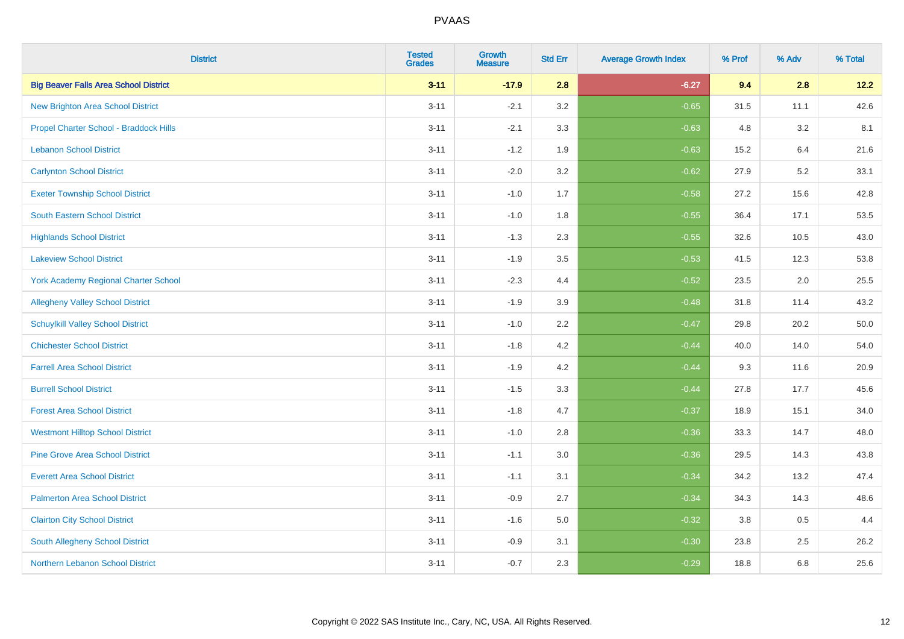| <b>District</b>                              | <b>Tested</b><br><b>Grades</b> | <b>Growth</b><br><b>Measure</b> | <b>Std Err</b> | <b>Average Growth Index</b> | % Prof | % Adv | % Total |
|----------------------------------------------|--------------------------------|---------------------------------|----------------|-----------------------------|--------|-------|---------|
| <b>Big Beaver Falls Area School District</b> | $3 - 11$                       | $-17.9$                         | 2.8            | $-6.27$                     | 9.4    | 2.8   | 12.2    |
| <b>New Brighton Area School District</b>     | $3 - 11$                       | $-2.1$                          | 3.2            | $-0.65$                     | 31.5   | 11.1  | 42.6    |
| Propel Charter School - Braddock Hills       | $3 - 11$                       | $-2.1$                          | 3.3            | $-0.63$                     | 4.8    | 3.2   | 8.1     |
| <b>Lebanon School District</b>               | $3 - 11$                       | $-1.2$                          | 1.9            | $-0.63$                     | 15.2   | 6.4   | 21.6    |
| <b>Carlynton School District</b>             | $3 - 11$                       | $-2.0$                          | 3.2            | $-0.62$                     | 27.9   | 5.2   | 33.1    |
| <b>Exeter Township School District</b>       | $3 - 11$                       | $-1.0$                          | 1.7            | $-0.58$                     | 27.2   | 15.6  | 42.8    |
| South Eastern School District                | $3 - 11$                       | $-1.0$                          | 1.8            | $-0.55$                     | 36.4   | 17.1  | 53.5    |
| <b>Highlands School District</b>             | $3 - 11$                       | $-1.3$                          | 2.3            | $-0.55$                     | 32.6   | 10.5  | 43.0    |
| <b>Lakeview School District</b>              | $3 - 11$                       | $-1.9$                          | 3.5            | $-0.53$                     | 41.5   | 12.3  | 53.8    |
| <b>York Academy Regional Charter School</b>  | $3 - 11$                       | $-2.3$                          | 4.4            | $-0.52$                     | 23.5   | 2.0   | 25.5    |
| <b>Allegheny Valley School District</b>      | $3 - 11$                       | $-1.9$                          | 3.9            | $-0.48$                     | 31.8   | 11.4  | 43.2    |
| <b>Schuylkill Valley School District</b>     | $3 - 11$                       | $-1.0$                          | 2.2            | $-0.47$                     | 29.8   | 20.2  | 50.0    |
| <b>Chichester School District</b>            | $3 - 11$                       | $-1.8$                          | 4.2            | $-0.44$                     | 40.0   | 14.0  | 54.0    |
| <b>Farrell Area School District</b>          | $3 - 11$                       | $-1.9$                          | 4.2            | $-0.44$                     | 9.3    | 11.6  | 20.9    |
| <b>Burrell School District</b>               | $3 - 11$                       | $-1.5$                          | 3.3            | $-0.44$                     | 27.8   | 17.7  | 45.6    |
| <b>Forest Area School District</b>           | $3 - 11$                       | $-1.8$                          | 4.7            | $-0.37$                     | 18.9   | 15.1  | 34.0    |
| <b>Westmont Hilltop School District</b>      | $3 - 11$                       | $-1.0$                          | 2.8            | $-0.36$                     | 33.3   | 14.7  | 48.0    |
| <b>Pine Grove Area School District</b>       | $3 - 11$                       | $-1.1$                          | 3.0            | $-0.36$                     | 29.5   | 14.3  | 43.8    |
| <b>Everett Area School District</b>          | $3 - 11$                       | $-1.1$                          | 3.1            | $-0.34$                     | 34.2   | 13.2  | 47.4    |
| <b>Palmerton Area School District</b>        | $3 - 11$                       | $-0.9$                          | 2.7            | $-0.34$                     | 34.3   | 14.3  | 48.6    |
| <b>Clairton City School District</b>         | $3 - 11$                       | $-1.6$                          | 5.0            | $-0.32$                     | 3.8    | 0.5   | 4.4     |
| South Allegheny School District              | $3 - 11$                       | $-0.9$                          | 3.1            | $-0.30$                     | 23.8   | 2.5   | 26.2    |
| <b>Northern Lebanon School District</b>      | $3 - 11$                       | $-0.7$                          | 2.3            | $-0.29$                     | 18.8   | 6.8   | 25.6    |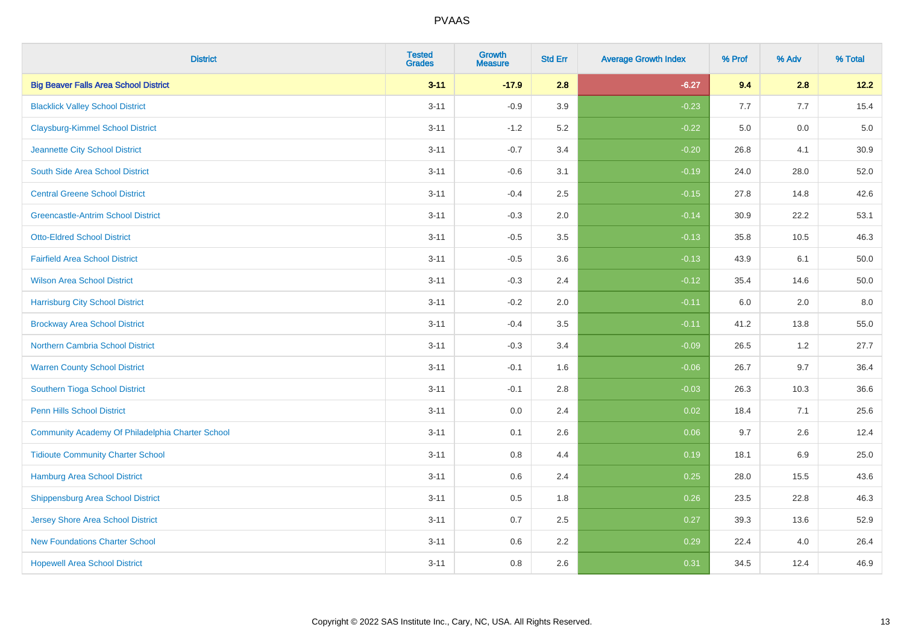| <b>District</b>                                  | <b>Tested</b><br><b>Grades</b> | <b>Growth</b><br><b>Measure</b> | <b>Std Err</b> | <b>Average Growth Index</b> | % Prof | % Adv | % Total |
|--------------------------------------------------|--------------------------------|---------------------------------|----------------|-----------------------------|--------|-------|---------|
| <b>Big Beaver Falls Area School District</b>     | $3 - 11$                       | $-17.9$                         | 2.8            | $-6.27$                     | 9.4    | 2.8   | 12.2    |
| <b>Blacklick Valley School District</b>          | $3 - 11$                       | $-0.9$                          | 3.9            | $-0.23$                     | 7.7    | 7.7   | 15.4    |
| <b>Claysburg-Kimmel School District</b>          | $3 - 11$                       | $-1.2$                          | 5.2            | $-0.22$                     | 5.0    | 0.0   | $5.0$   |
| Jeannette City School District                   | $3 - 11$                       | $-0.7$                          | 3.4            | $-0.20$                     | 26.8   | 4.1   | 30.9    |
| South Side Area School District                  | $3 - 11$                       | $-0.6$                          | 3.1            | $-0.19$                     | 24.0   | 28.0  | 52.0    |
| <b>Central Greene School District</b>            | $3 - 11$                       | $-0.4$                          | 2.5            | $-0.15$                     | 27.8   | 14.8  | 42.6    |
| <b>Greencastle-Antrim School District</b>        | $3 - 11$                       | $-0.3$                          | 2.0            | $-0.14$                     | 30.9   | 22.2  | 53.1    |
| <b>Otto-Eldred School District</b>               | $3 - 11$                       | $-0.5$                          | 3.5            | $-0.13$                     | 35.8   | 10.5  | 46.3    |
| <b>Fairfield Area School District</b>            | $3 - 11$                       | $-0.5$                          | 3.6            | $-0.13$                     | 43.9   | 6.1   | 50.0    |
| <b>Wilson Area School District</b>               | $3 - 11$                       | $-0.3$                          | 2.4            | $-0.12$                     | 35.4   | 14.6  | 50.0    |
| <b>Harrisburg City School District</b>           | $3 - 11$                       | $-0.2$                          | 2.0            | $-0.11$                     | 6.0    | 2.0   | 8.0     |
| <b>Brockway Area School District</b>             | $3 - 11$                       | $-0.4$                          | 3.5            | $-0.11$                     | 41.2   | 13.8  | 55.0    |
| Northern Cambria School District                 | $3 - 11$                       | $-0.3$                          | 3.4            | $-0.09$                     | 26.5   | 1.2   | 27.7    |
| <b>Warren County School District</b>             | $3 - 11$                       | $-0.1$                          | 1.6            | $-0.06$                     | 26.7   | 9.7   | 36.4    |
| Southern Tioga School District                   | $3 - 11$                       | $-0.1$                          | 2.8            | $-0.03$                     | 26.3   | 10.3  | 36.6    |
| Penn Hills School District                       | $3 - 11$                       | 0.0                             | 2.4            | 0.02                        | 18.4   | 7.1   | 25.6    |
| Community Academy Of Philadelphia Charter School | $3 - 11$                       | 0.1                             | 2.6            | 0.06                        | 9.7    | 2.6   | 12.4    |
| <b>Tidioute Community Charter School</b>         | $3 - 11$                       | 0.8                             | 4.4            | 0.19                        | 18.1   | 6.9   | 25.0    |
| Hamburg Area School District                     | $3 - 11$                       | $0.6\,$                         | 2.4            | 0.25                        | 28.0   | 15.5  | 43.6    |
| <b>Shippensburg Area School District</b>         | $3 - 11$                       | 0.5                             | 1.8            | 0.26                        | 23.5   | 22.8  | 46.3    |
| Jersey Shore Area School District                | $3 - 11$                       | 0.7                             | 2.5            | 0.27                        | 39.3   | 13.6  | 52.9    |
| <b>New Foundations Charter School</b>            | $3 - 11$                       | 0.6                             | 2.2            | 0.29                        | 22.4   | 4.0   | 26.4    |
| <b>Hopewell Area School District</b>             | $3 - 11$                       | 0.8                             | 2.6            | 0.31                        | 34.5   | 12.4  | 46.9    |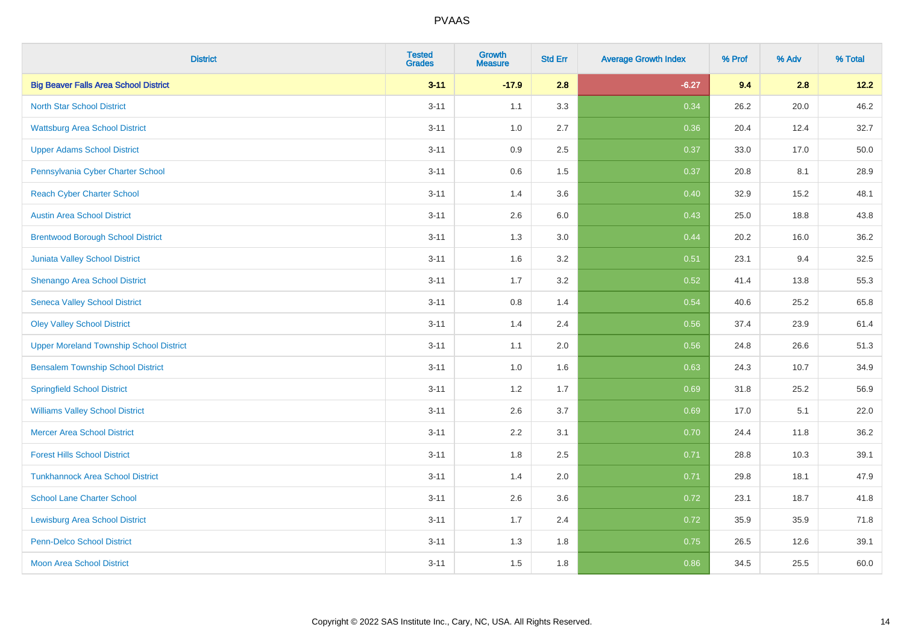| <b>District</b>                                | <b>Tested</b><br><b>Grades</b> | Growth<br><b>Measure</b> | <b>Std Err</b> | <b>Average Growth Index</b> | % Prof | % Adv | % Total |
|------------------------------------------------|--------------------------------|--------------------------|----------------|-----------------------------|--------|-------|---------|
| <b>Big Beaver Falls Area School District</b>   | $3 - 11$                       | $-17.9$                  | 2.8            | $-6.27$                     | 9.4    | 2.8   | 12.2    |
| <b>North Star School District</b>              | $3 - 11$                       | 1.1                      | 3.3            | 0.34                        | 26.2   | 20.0  | 46.2    |
| <b>Wattsburg Area School District</b>          | $3 - 11$                       | 1.0                      | 2.7            | 0.36                        | 20.4   | 12.4  | 32.7    |
| <b>Upper Adams School District</b>             | $3 - 11$                       | 0.9                      | 2.5            | 0.37                        | 33.0   | 17.0  | 50.0    |
| Pennsylvania Cyber Charter School              | $3 - 11$                       | 0.6                      | 1.5            | 0.37                        | 20.8   | 8.1   | 28.9    |
| <b>Reach Cyber Charter School</b>              | $3 - 11$                       | 1.4                      | 3.6            | 0.40                        | 32.9   | 15.2  | 48.1    |
| <b>Austin Area School District</b>             | $3 - 11$                       | 2.6                      | 6.0            | 0.43                        | 25.0   | 18.8  | 43.8    |
| <b>Brentwood Borough School District</b>       | $3 - 11$                       | 1.3                      | 3.0            | 0.44                        | 20.2   | 16.0  | 36.2    |
| Juniata Valley School District                 | $3 - 11$                       | 1.6                      | 3.2            | 0.51                        | 23.1   | 9.4   | 32.5    |
| Shenango Area School District                  | $3 - 11$                       | 1.7                      | 3.2            | 0.52                        | 41.4   | 13.8  | 55.3    |
| <b>Seneca Valley School District</b>           | $3 - 11$                       | $0.8\,$                  | 1.4            | 0.54                        | 40.6   | 25.2  | 65.8    |
| <b>Oley Valley School District</b>             | $3 - 11$                       | 1.4                      | 2.4            | 0.56                        | 37.4   | 23.9  | 61.4    |
| <b>Upper Moreland Township School District</b> | $3 - 11$                       | 1.1                      | 2.0            | 0.56                        | 24.8   | 26.6  | 51.3    |
| <b>Bensalem Township School District</b>       | $3 - 11$                       | 1.0                      | 1.6            | 0.63                        | 24.3   | 10.7  | 34.9    |
| <b>Springfield School District</b>             | $3 - 11$                       | 1.2                      | 1.7            | 0.69                        | 31.8   | 25.2  | 56.9    |
| <b>Williams Valley School District</b>         | $3 - 11$                       | 2.6                      | 3.7            | 0.69                        | 17.0   | 5.1   | 22.0    |
| <b>Mercer Area School District</b>             | $3 - 11$                       | 2.2                      | 3.1            | 0.70                        | 24.4   | 11.8  | 36.2    |
| <b>Forest Hills School District</b>            | $3 - 11$                       | 1.8                      | 2.5            | 0.71                        | 28.8   | 10.3  | 39.1    |
| <b>Tunkhannock Area School District</b>        | $3 - 11$                       | 1.4                      | 2.0            | 0.71                        | 29.8   | 18.1  | 47.9    |
| <b>School Lane Charter School</b>              | $3 - 11$                       | 2.6                      | 3.6            | 0.72                        | 23.1   | 18.7  | 41.8    |
| <b>Lewisburg Area School District</b>          | $3 - 11$                       | 1.7                      | 2.4            | 0.72                        | 35.9   | 35.9  | 71.8    |
| <b>Penn-Delco School District</b>              | $3 - 11$                       | 1.3                      | 1.8            | 0.75                        | 26.5   | 12.6  | 39.1    |
| <b>Moon Area School District</b>               | $3 - 11$                       | 1.5                      | 1.8            | 0.86                        | 34.5   | 25.5  | 60.0    |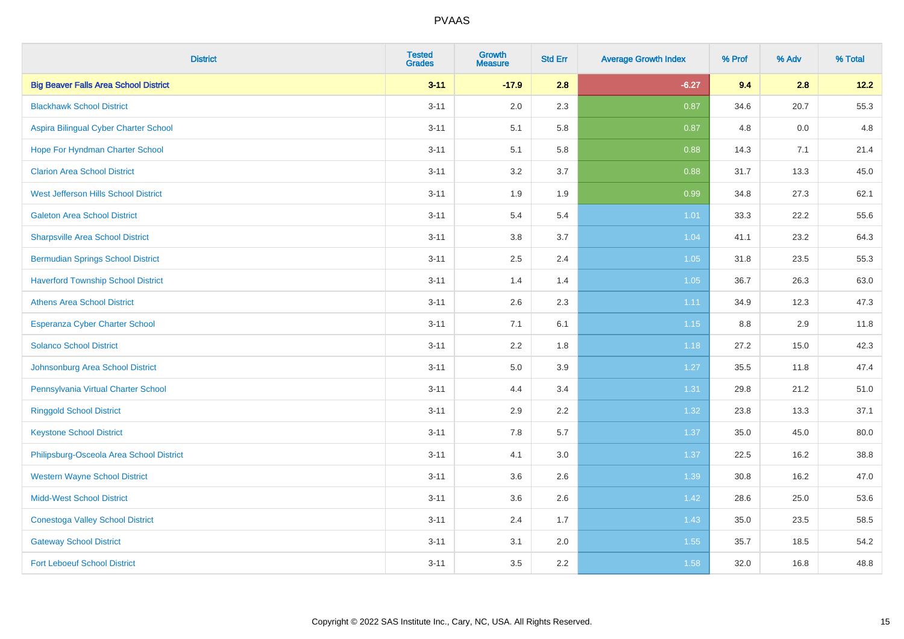| <b>District</b>                              | <b>Tested</b><br><b>Grades</b> | <b>Growth</b><br><b>Measure</b> | <b>Std Err</b> | <b>Average Growth Index</b> | % Prof | % Adv | % Total |
|----------------------------------------------|--------------------------------|---------------------------------|----------------|-----------------------------|--------|-------|---------|
| <b>Big Beaver Falls Area School District</b> | $3 - 11$                       | $-17.9$                         | 2.8            | $-6.27$                     | 9.4    | 2.8   | 12.2    |
| <b>Blackhawk School District</b>             | $3 - 11$                       | 2.0                             | 2.3            | 0.87                        | 34.6   | 20.7  | 55.3    |
| Aspira Bilingual Cyber Charter School        | $3 - 11$                       | 5.1                             | 5.8            | 0.87                        | 4.8    | 0.0   | 4.8     |
| Hope For Hyndman Charter School              | $3 - 11$                       | 5.1                             | 5.8            | 0.88                        | 14.3   | 7.1   | 21.4    |
| <b>Clarion Area School District</b>          | $3 - 11$                       | 3.2                             | 3.7            | 0.88                        | 31.7   | 13.3  | 45.0    |
| West Jefferson Hills School District         | $3 - 11$                       | 1.9                             | 1.9            | 0.99                        | 34.8   | 27.3  | 62.1    |
| <b>Galeton Area School District</b>          | $3 - 11$                       | 5.4                             | 5.4            | $1.01$                      | 33.3   | 22.2  | 55.6    |
| <b>Sharpsville Area School District</b>      | $3 - 11$                       | 3.8                             | 3.7            | 1.04                        | 41.1   | 23.2  | 64.3    |
| <b>Bermudian Springs School District</b>     | $3 - 11$                       | 2.5                             | 2.4            | 1.05                        | 31.8   | 23.5  | 55.3    |
| <b>Haverford Township School District</b>    | $3 - 11$                       | 1.4                             | 1.4            | 1.05                        | 36.7   | 26.3  | 63.0    |
| <b>Athens Area School District</b>           | $3 - 11$                       | 2.6                             | 2.3            | 1.11                        | 34.9   | 12.3  | 47.3    |
| Esperanza Cyber Charter School               | $3 - 11$                       | 7.1                             | 6.1            | 1.15                        | 8.8    | 2.9   | 11.8    |
| <b>Solanco School District</b>               | $3 - 11$                       | 2.2                             | 1.8            | 1.18                        | 27.2   | 15.0  | 42.3    |
| Johnsonburg Area School District             | $3 - 11$                       | 5.0                             | 3.9            | 1.27                        | 35.5   | 11.8  | 47.4    |
| Pennsylvania Virtual Charter School          | $3 - 11$                       | 4.4                             | 3.4            | 1.31                        | 29.8   | 21.2  | 51.0    |
| <b>Ringgold School District</b>              | $3 - 11$                       | 2.9                             | 2.2            | 1.32                        | 23.8   | 13.3  | 37.1    |
| <b>Keystone School District</b>              | $3 - 11$                       | 7.8                             | 5.7            | 1.37                        | 35.0   | 45.0  | 80.0    |
| Philipsburg-Osceola Area School District     | $3 - 11$                       | 4.1                             | 3.0            | 1.37                        | 22.5   | 16.2  | 38.8    |
| <b>Western Wayne School District</b>         | $3 - 11$                       | 3.6                             | 2.6            | 1.39                        | 30.8   | 16.2  | 47.0    |
| <b>Midd-West School District</b>             | $3 - 11$                       | 3.6                             | 2.6            | 1.42                        | 28.6   | 25.0  | 53.6    |
| <b>Conestoga Valley School District</b>      | $3 - 11$                       | 2.4                             | 1.7            | 1.43                        | 35.0   | 23.5  | 58.5    |
| <b>Gateway School District</b>               | $3 - 11$                       | 3.1                             | 2.0            | 1.55                        | 35.7   | 18.5  | 54.2    |
| <b>Fort Leboeuf School District</b>          | $3 - 11$                       | 3.5                             | 2.2            | 1.58                        | 32.0   | 16.8  | 48.8    |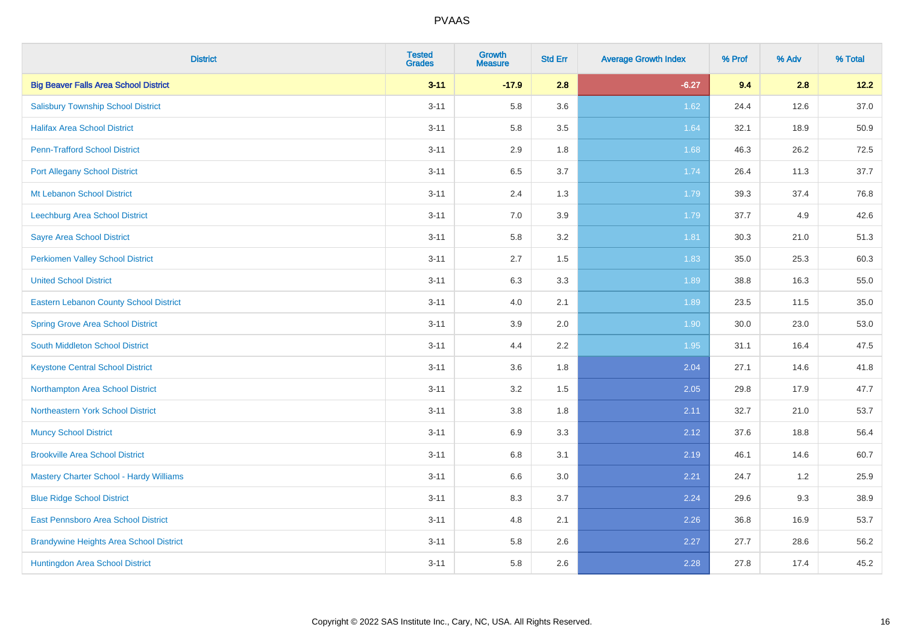| <b>District</b>                                | <b>Tested</b><br><b>Grades</b> | <b>Growth</b><br><b>Measure</b> | <b>Std Err</b> | <b>Average Growth Index</b> | % Prof | % Adv | % Total |
|------------------------------------------------|--------------------------------|---------------------------------|----------------|-----------------------------|--------|-------|---------|
| <b>Big Beaver Falls Area School District</b>   | $3 - 11$                       | $-17.9$                         | 2.8            | $-6.27$                     | 9.4    | 2.8   | 12.2    |
| <b>Salisbury Township School District</b>      | $3 - 11$                       | 5.8                             | 3.6            | 1.62                        | 24.4   | 12.6  | 37.0    |
| <b>Halifax Area School District</b>            | $3 - 11$                       | 5.8                             | 3.5            | 1.64                        | 32.1   | 18.9  | 50.9    |
| <b>Penn-Trafford School District</b>           | $3 - 11$                       | 2.9                             | 1.8            | 1.68                        | 46.3   | 26.2  | 72.5    |
| <b>Port Allegany School District</b>           | $3 - 11$                       | 6.5                             | 3.7            | 1.74                        | 26.4   | 11.3  | 37.7    |
| Mt Lebanon School District                     | $3 - 11$                       | 2.4                             | 1.3            | 1.79                        | 39.3   | 37.4  | 76.8    |
| Leechburg Area School District                 | $3 - 11$                       | 7.0                             | 3.9            | 1.79                        | 37.7   | 4.9   | 42.6    |
| <b>Sayre Area School District</b>              | $3 - 11$                       | 5.8                             | 3.2            | 1.81                        | 30.3   | 21.0  | 51.3    |
| Perkiomen Valley School District               | $3 - 11$                       | 2.7                             | 1.5            | 1.83                        | 35.0   | 25.3  | 60.3    |
| <b>United School District</b>                  | $3 - 11$                       | 6.3                             | 3.3            | 1.89                        | 38.8   | 16.3  | 55.0    |
| Eastern Lebanon County School District         | $3 - 11$                       | 4.0                             | 2.1            | 1.89                        | 23.5   | 11.5  | 35.0    |
| <b>Spring Grove Area School District</b>       | $3 - 11$                       | 3.9                             | 2.0            | 1.90                        | 30.0   | 23.0  | 53.0    |
| South Middleton School District                | $3 - 11$                       | 4.4                             | 2.2            | 1.95                        | 31.1   | 16.4  | 47.5    |
| <b>Keystone Central School District</b>        | $3 - 11$                       | 3.6                             | 1.8            | 2.04                        | 27.1   | 14.6  | 41.8    |
| Northampton Area School District               | $3 - 11$                       | 3.2                             | 1.5            | 2.05                        | 29.8   | 17.9  | 47.7    |
| Northeastern York School District              | $3 - 11$                       | $3.8\,$                         | 1.8            | 2.11                        | 32.7   | 21.0  | 53.7    |
| <b>Muncy School District</b>                   | $3 - 11$                       | 6.9                             | 3.3            | 2.12                        | 37.6   | 18.8  | 56.4    |
| <b>Brookville Area School District</b>         | $3 - 11$                       | 6.8                             | 3.1            | 2.19                        | 46.1   | 14.6  | 60.7    |
| <b>Mastery Charter School - Hardy Williams</b> | $3 - 11$                       | $6.6\,$                         | 3.0            | 2.21                        | 24.7   | 1.2   | 25.9    |
| <b>Blue Ridge School District</b>              | $3 - 11$                       | 8.3                             | 3.7            | 2.24                        | 29.6   | 9.3   | 38.9    |
| East Pennsboro Area School District            | $3 - 11$                       | 4.8                             | 2.1            | 2.26                        | 36.8   | 16.9  | 53.7    |
| <b>Brandywine Heights Area School District</b> | $3 - 11$                       | 5.8                             | 2.6            | 2.27                        | 27.7   | 28.6  | 56.2    |
| Huntingdon Area School District                | $3 - 11$                       | 5.8                             | 2.6            | 2.28                        | 27.8   | 17.4  | 45.2    |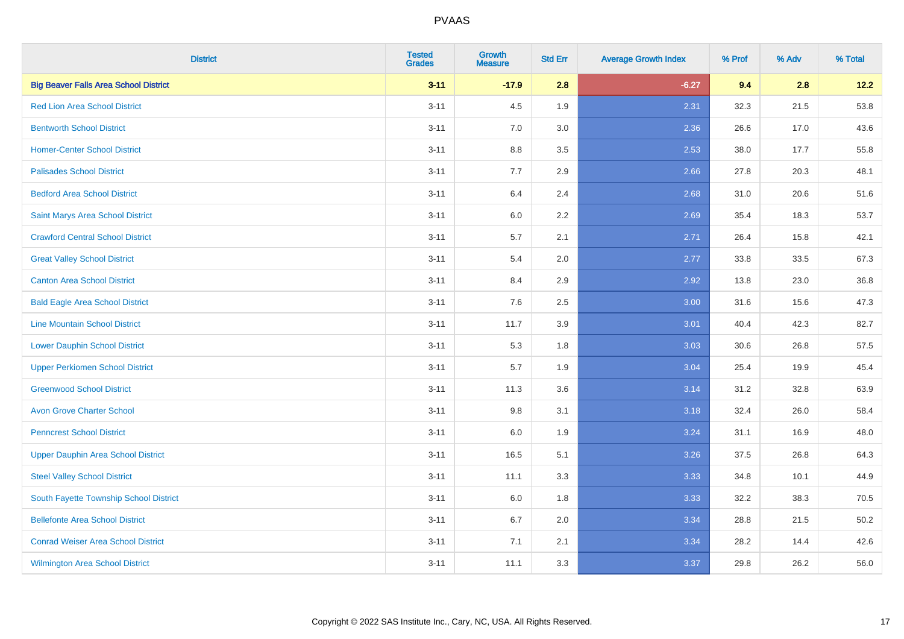| <b>District</b>                              | <b>Tested</b><br><b>Grades</b> | <b>Growth</b><br><b>Measure</b> | <b>Std Err</b> | <b>Average Growth Index</b> | % Prof | % Adv | % Total |
|----------------------------------------------|--------------------------------|---------------------------------|----------------|-----------------------------|--------|-------|---------|
| <b>Big Beaver Falls Area School District</b> | $3 - 11$                       | $-17.9$                         | 2.8            | $-6.27$                     | 9.4    | 2.8   | 12.2    |
| <b>Red Lion Area School District</b>         | $3 - 11$                       | 4.5                             | 1.9            | 2.31                        | 32.3   | 21.5  | 53.8    |
| <b>Bentworth School District</b>             | $3 - 11$                       | 7.0                             | 3.0            | 2.36                        | 26.6   | 17.0  | 43.6    |
| <b>Homer-Center School District</b>          | $3 - 11$                       | $8.8\,$                         | 3.5            | 2.53                        | 38.0   | 17.7  | 55.8    |
| <b>Palisades School District</b>             | $3 - 11$                       | 7.7                             | 2.9            | 2.66                        | 27.8   | 20.3  | 48.1    |
| <b>Bedford Area School District</b>          | $3 - 11$                       | 6.4                             | 2.4            | 2.68                        | 31.0   | 20.6  | 51.6    |
| Saint Marys Area School District             | $3 - 11$                       | 6.0                             | 2.2            | 2.69                        | 35.4   | 18.3  | 53.7    |
| <b>Crawford Central School District</b>      | $3 - 11$                       | 5.7                             | 2.1            | 2.71                        | 26.4   | 15.8  | 42.1    |
| <b>Great Valley School District</b>          | $3 - 11$                       | 5.4                             | 2.0            | 2.77                        | 33.8   | 33.5  | 67.3    |
| <b>Canton Area School District</b>           | $3 - 11$                       | 8.4                             | 2.9            | 2.92                        | 13.8   | 23.0  | 36.8    |
| <b>Bald Eagle Area School District</b>       | $3 - 11$                       | 7.6                             | 2.5            | 3.00                        | 31.6   | 15.6  | 47.3    |
| <b>Line Mountain School District</b>         | $3 - 11$                       | 11.7                            | 3.9            | 3.01                        | 40.4   | 42.3  | 82.7    |
| <b>Lower Dauphin School District</b>         | $3 - 11$                       | 5.3                             | 1.8            | 3.03                        | 30.6   | 26.8  | 57.5    |
| <b>Upper Perkiomen School District</b>       | $3 - 11$                       | 5.7                             | 1.9            | 3.04                        | 25.4   | 19.9  | 45.4    |
| <b>Greenwood School District</b>             | $3 - 11$                       | 11.3                            | 3.6            | 3.14                        | 31.2   | 32.8  | 63.9    |
| <b>Avon Grove Charter School</b>             | $3 - 11$                       | 9.8                             | 3.1            | 3.18                        | 32.4   | 26.0  | 58.4    |
| <b>Penncrest School District</b>             | $3 - 11$                       | 6.0                             | 1.9            | 3.24                        | 31.1   | 16.9  | 48.0    |
| <b>Upper Dauphin Area School District</b>    | $3 - 11$                       | 16.5                            | 5.1            | 3.26                        | 37.5   | 26.8  | 64.3    |
| <b>Steel Valley School District</b>          | $3 - 11$                       | 11.1                            | 3.3            | 3.33                        | 34.8   | 10.1  | 44.9    |
| South Fayette Township School District       | $3 - 11$                       | 6.0                             | 1.8            | 3.33                        | 32.2   | 38.3  | 70.5    |
| <b>Bellefonte Area School District</b>       | $3 - 11$                       | 6.7                             | 2.0            | 3.34                        | 28.8   | 21.5  | 50.2    |
| <b>Conrad Weiser Area School District</b>    | $3 - 11$                       | 7.1                             | 2.1            | 3.34                        | 28.2   | 14.4  | 42.6    |
| <b>Wilmington Area School District</b>       | $3 - 11$                       | 11.1                            | 3.3            | 3.37                        | 29.8   | 26.2  | 56.0    |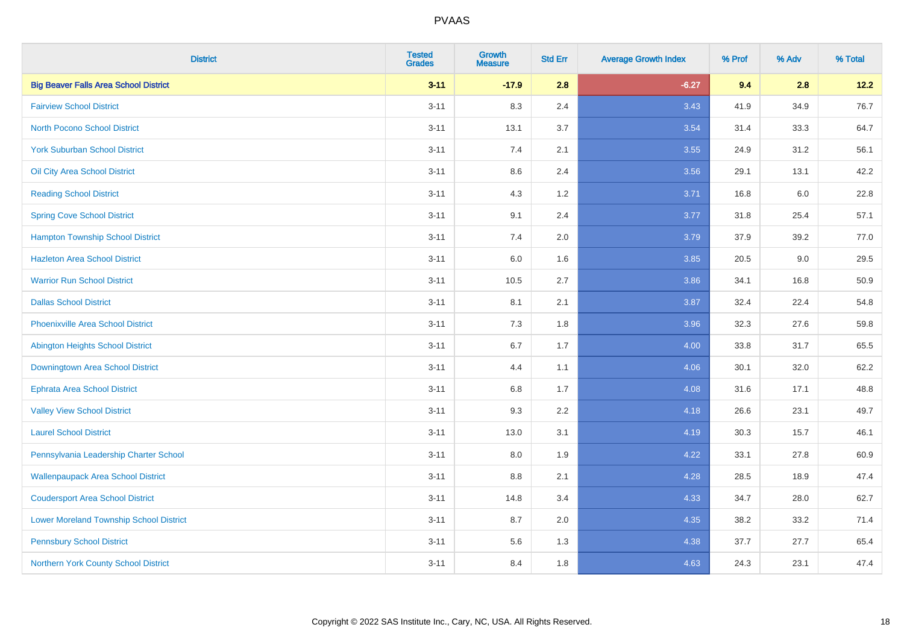| <b>District</b>                                | <b>Tested</b><br><b>Grades</b> | Growth<br><b>Measure</b> | <b>Std Err</b> | <b>Average Growth Index</b> | % Prof | % Adv   | % Total |
|------------------------------------------------|--------------------------------|--------------------------|----------------|-----------------------------|--------|---------|---------|
| <b>Big Beaver Falls Area School District</b>   | $3 - 11$                       | $-17.9$                  | 2.8            | $-6.27$                     | 9.4    | 2.8     | 12.2    |
| <b>Fairview School District</b>                | $3 - 11$                       | 8.3                      | 2.4            | 3.43                        | 41.9   | 34.9    | 76.7    |
| <b>North Pocono School District</b>            | $3 - 11$                       | 13.1                     | 3.7            | 3.54                        | 31.4   | 33.3    | 64.7    |
| <b>York Suburban School District</b>           | $3 - 11$                       | 7.4                      | 2.1            | 3.55                        | 24.9   | 31.2    | 56.1    |
| Oil City Area School District                  | $3 - 11$                       | 8.6                      | 2.4            | 3.56                        | 29.1   | 13.1    | 42.2    |
| <b>Reading School District</b>                 | $3 - 11$                       | 4.3                      | 1.2            | 3.71                        | 16.8   | $6.0\,$ | 22.8    |
| <b>Spring Cove School District</b>             | $3 - 11$                       | 9.1                      | 2.4            | 3.77                        | 31.8   | 25.4    | 57.1    |
| <b>Hampton Township School District</b>        | $3 - 11$                       | 7.4                      | 2.0            | 3.79                        | 37.9   | 39.2    | 77.0    |
| <b>Hazleton Area School District</b>           | $3 - 11$                       | 6.0                      | 1.6            | 3.85                        | 20.5   | 9.0     | 29.5    |
| <b>Warrior Run School District</b>             | $3 - 11$                       | 10.5                     | 2.7            | 3.86                        | 34.1   | 16.8    | 50.9    |
| <b>Dallas School District</b>                  | $3 - 11$                       | 8.1                      | 2.1            | 3.87                        | 32.4   | 22.4    | 54.8    |
| <b>Phoenixville Area School District</b>       | $3 - 11$                       | 7.3                      | 1.8            | 3.96                        | 32.3   | 27.6    | 59.8    |
| Abington Heights School District               | $3 - 11$                       | 6.7                      | 1.7            | 4.00                        | 33.8   | 31.7    | 65.5    |
| Downingtown Area School District               | $3 - 11$                       | 4.4                      | 1.1            | 4.06                        | 30.1   | 32.0    | 62.2    |
| <b>Ephrata Area School District</b>            | $3 - 11$                       | 6.8                      | 1.7            | 4.08                        | 31.6   | 17.1    | 48.8    |
| <b>Valley View School District</b>             | $3 - 11$                       | 9.3                      | 2.2            | 4.18                        | 26.6   | 23.1    | 49.7    |
| <b>Laurel School District</b>                  | $3 - 11$                       | 13.0                     | 3.1            | 4.19                        | 30.3   | 15.7    | 46.1    |
| Pennsylvania Leadership Charter School         | $3 - 11$                       | 8.0                      | 1.9            | 4.22                        | 33.1   | 27.8    | 60.9    |
| <b>Wallenpaupack Area School District</b>      | $3 - 11$                       | 8.8                      | 2.1            | 4.28                        | 28.5   | 18.9    | 47.4    |
| <b>Coudersport Area School District</b>        | $3 - 11$                       | 14.8                     | 3.4            | 4.33                        | 34.7   | 28.0    | 62.7    |
| <b>Lower Moreland Township School District</b> | $3 - 11$                       | 8.7                      | 2.0            | 4.35                        | 38.2   | 33.2    | 71.4    |
| <b>Pennsbury School District</b>               | $3 - 11$                       | 5.6                      | 1.3            | 4.38                        | 37.7   | 27.7    | 65.4    |
| Northern York County School District           | $3 - 11$                       | 8.4                      | 1.8            | 4.63                        | 24.3   | 23.1    | 47.4    |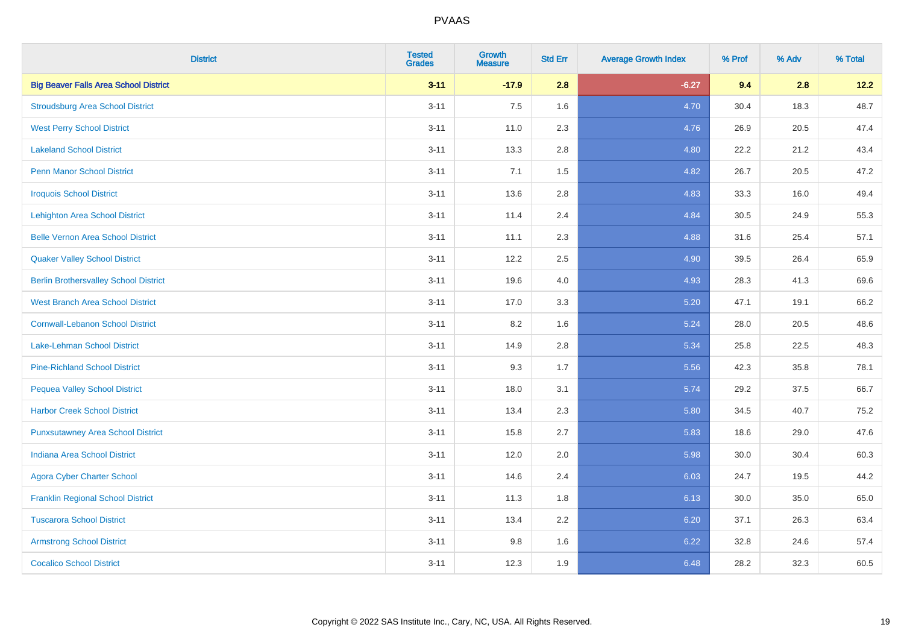| <b>District</b>                              | <b>Tested</b><br><b>Grades</b> | <b>Growth</b><br><b>Measure</b> | <b>Std Err</b> | <b>Average Growth Index</b> | % Prof | % Adv | % Total |
|----------------------------------------------|--------------------------------|---------------------------------|----------------|-----------------------------|--------|-------|---------|
| <b>Big Beaver Falls Area School District</b> | $3 - 11$                       | $-17.9$                         | 2.8            | $-6.27$                     | 9.4    | 2.8   | 12.2    |
| <b>Stroudsburg Area School District</b>      | $3 - 11$                       | 7.5                             | 1.6            | 4.70                        | 30.4   | 18.3  | 48.7    |
| <b>West Perry School District</b>            | $3 - 11$                       | 11.0                            | 2.3            | 4.76                        | 26.9   | 20.5  | 47.4    |
| <b>Lakeland School District</b>              | $3 - 11$                       | 13.3                            | 2.8            | 4.80                        | 22.2   | 21.2  | 43.4    |
| <b>Penn Manor School District</b>            | $3 - 11$                       | 7.1                             | 1.5            | 4.82                        | 26.7   | 20.5  | 47.2    |
| <b>Iroquois School District</b>              | $3 - 11$                       | 13.6                            | 2.8            | 4.83                        | 33.3   | 16.0  | 49.4    |
| <b>Lehighton Area School District</b>        | $3 - 11$                       | 11.4                            | 2.4            | 4.84                        | 30.5   | 24.9  | 55.3    |
| <b>Belle Vernon Area School District</b>     | $3 - 11$                       | 11.1                            | 2.3            | 4.88                        | 31.6   | 25.4  | 57.1    |
| <b>Quaker Valley School District</b>         | $3 - 11$                       | 12.2                            | 2.5            | 4.90                        | 39.5   | 26.4  | 65.9    |
| <b>Berlin Brothersvalley School District</b> | $3 - 11$                       | 19.6                            | 4.0            | 4.93                        | 28.3   | 41.3  | 69.6    |
| <b>West Branch Area School District</b>      | $3 - 11$                       | 17.0                            | 3.3            | 5.20                        | 47.1   | 19.1  | 66.2    |
| <b>Cornwall-Lebanon School District</b>      | $3 - 11$                       | 8.2                             | 1.6            | 5.24                        | 28.0   | 20.5  | 48.6    |
| Lake-Lehman School District                  | $3 - 11$                       | 14.9                            | 2.8            | 5.34                        | 25.8   | 22.5  | 48.3    |
| <b>Pine-Richland School District</b>         | $3 - 11$                       | 9.3                             | 1.7            | 5.56                        | 42.3   | 35.8  | 78.1    |
| <b>Pequea Valley School District</b>         | $3 - 11$                       | 18.0                            | 3.1            | 5.74                        | 29.2   | 37.5  | 66.7    |
| <b>Harbor Creek School District</b>          | $3 - 11$                       | 13.4                            | 2.3            | 5.80                        | 34.5   | 40.7  | 75.2    |
| <b>Punxsutawney Area School District</b>     | $3 - 11$                       | 15.8                            | 2.7            | 5.83                        | 18.6   | 29.0  | 47.6    |
| <b>Indiana Area School District</b>          | $3 - 11$                       | 12.0                            | 2.0            | 5.98                        | 30.0   | 30.4  | 60.3    |
| <b>Agora Cyber Charter School</b>            | $3 - 11$                       | 14.6                            | 2.4            | 6.03                        | 24.7   | 19.5  | 44.2    |
| <b>Franklin Regional School District</b>     | $3 - 11$                       | 11.3                            | 1.8            | 6.13                        | 30.0   | 35.0  | 65.0    |
| <b>Tuscarora School District</b>             | $3 - 11$                       | 13.4                            | 2.2            | 6.20                        | 37.1   | 26.3  | 63.4    |
| <b>Armstrong School District</b>             | $3 - 11$                       | 9.8                             | 1.6            | 6.22                        | 32.8   | 24.6  | 57.4    |
| <b>Cocalico School District</b>              | $3 - 11$                       | 12.3                            | 1.9            | 6.48                        | 28.2   | 32.3  | 60.5    |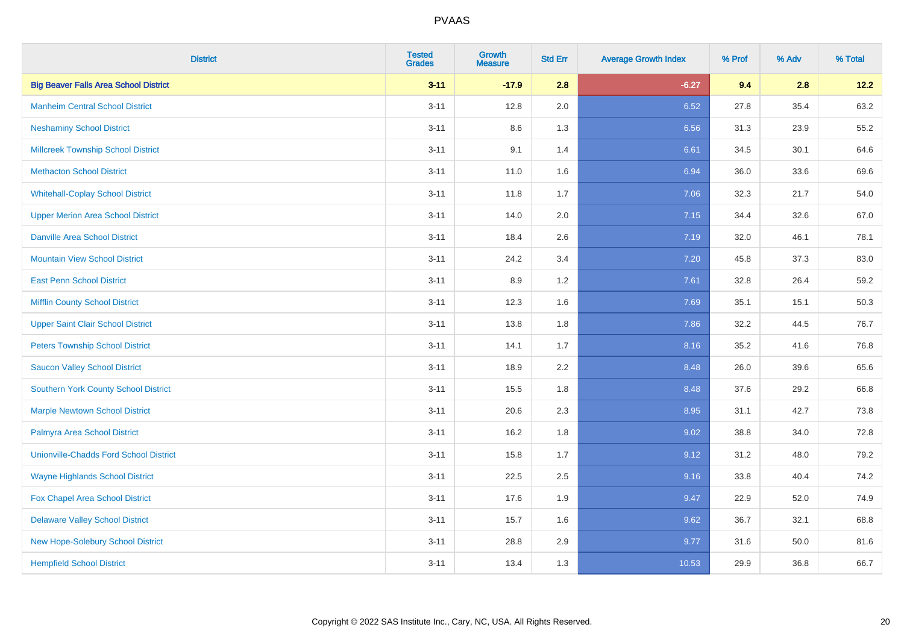| <b>District</b>                               | <b>Tested</b><br><b>Grades</b> | <b>Growth</b><br><b>Measure</b> | <b>Std Err</b> | <b>Average Growth Index</b> | % Prof | % Adv | % Total |
|-----------------------------------------------|--------------------------------|---------------------------------|----------------|-----------------------------|--------|-------|---------|
| <b>Big Beaver Falls Area School District</b>  | $3 - 11$                       | $-17.9$                         | 2.8            | $-6.27$                     | 9.4    | 2.8   | 12.2    |
| <b>Manheim Central School District</b>        | $3 - 11$                       | 12.8                            | 2.0            | 6.52                        | 27.8   | 35.4  | 63.2    |
| <b>Neshaminy School District</b>              | $3 - 11$                       | 8.6                             | 1.3            | 6.56                        | 31.3   | 23.9  | 55.2    |
| <b>Millcreek Township School District</b>     | $3 - 11$                       | 9.1                             | 1.4            | 6.61                        | 34.5   | 30.1  | 64.6    |
| <b>Methacton School District</b>              | $3 - 11$                       | 11.0                            | 1.6            | 6.94                        | 36.0   | 33.6  | 69.6    |
| <b>Whitehall-Coplay School District</b>       | $3 - 11$                       | 11.8                            | 1.7            | 7.06                        | 32.3   | 21.7  | 54.0    |
| <b>Upper Merion Area School District</b>      | $3 - 11$                       | 14.0                            | 2.0            | 7.15                        | 34.4   | 32.6  | 67.0    |
| <b>Danville Area School District</b>          | $3 - 11$                       | 18.4                            | 2.6            | 7.19                        | 32.0   | 46.1  | 78.1    |
| <b>Mountain View School District</b>          | $3 - 11$                       | 24.2                            | 3.4            | 7.20                        | 45.8   | 37.3  | 83.0    |
| <b>East Penn School District</b>              | $3 - 11$                       | 8.9                             | 1.2            | 7.61                        | 32.8   | 26.4  | 59.2    |
| <b>Mifflin County School District</b>         | $3 - 11$                       | 12.3                            | 1.6            | 7.69                        | 35.1   | 15.1  | 50.3    |
| <b>Upper Saint Clair School District</b>      | $3 - 11$                       | 13.8                            | 1.8            | 7.86                        | 32.2   | 44.5  | 76.7    |
| <b>Peters Township School District</b>        | $3 - 11$                       | 14.1                            | 1.7            | 8.16                        | 35.2   | 41.6  | 76.8    |
| <b>Saucon Valley School District</b>          | $3 - 11$                       | 18.9                            | 2.2            | 8.48                        | 26.0   | 39.6  | 65.6    |
| <b>Southern York County School District</b>   | $3 - 11$                       | 15.5                            | 1.8            | 8.48                        | 37.6   | 29.2  | 66.8    |
| <b>Marple Newtown School District</b>         | $3 - 11$                       | 20.6                            | 2.3            | 8.95                        | 31.1   | 42.7  | 73.8    |
| Palmyra Area School District                  | $3 - 11$                       | 16.2                            | 1.8            | 9.02                        | 38.8   | 34.0  | 72.8    |
| <b>Unionville-Chadds Ford School District</b> | $3 - 11$                       | 15.8                            | 1.7            | 9.12                        | 31.2   | 48.0  | 79.2    |
| <b>Wayne Highlands School District</b>        | $3 - 11$                       | 22.5                            | 2.5            | 9.16                        | 33.8   | 40.4  | 74.2    |
| Fox Chapel Area School District               | $3 - 11$                       | 17.6                            | 1.9            | 9.47                        | 22.9   | 52.0  | 74.9    |
| <b>Delaware Valley School District</b>        | $3 - 11$                       | 15.7                            | 1.6            | 9.62                        | 36.7   | 32.1  | 68.8    |
| New Hope-Solebury School District             | $3 - 11$                       | 28.8                            | 2.9            | 9.77                        | 31.6   | 50.0  | 81.6    |
| <b>Hempfield School District</b>              | $3 - 11$                       | 13.4                            | 1.3            | 10.53                       | 29.9   | 36.8  | 66.7    |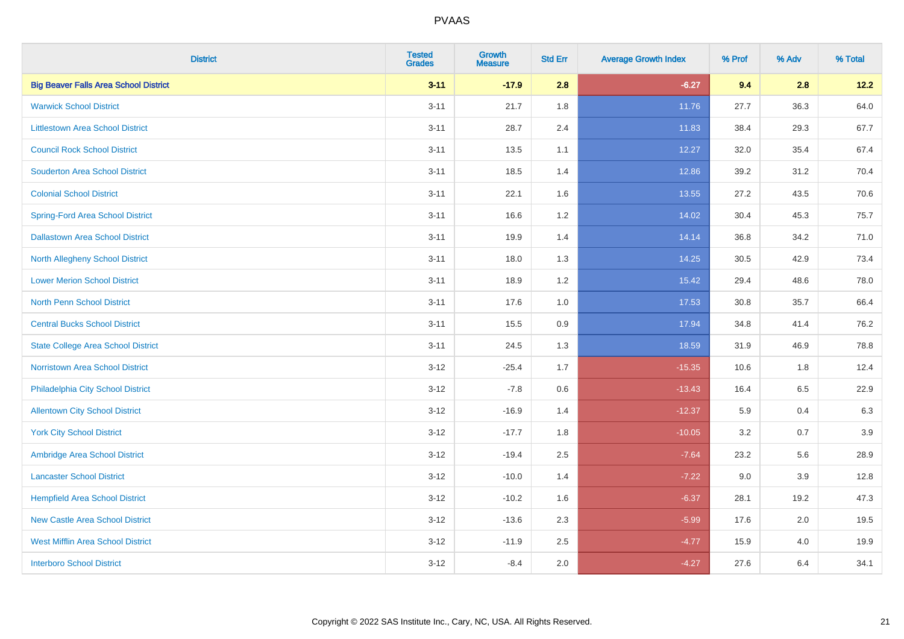| <b>District</b>                              | <b>Tested</b><br><b>Grades</b> | <b>Growth</b><br><b>Measure</b> | <b>Std Err</b> | <b>Average Growth Index</b> | % Prof | % Adv | % Total |
|----------------------------------------------|--------------------------------|---------------------------------|----------------|-----------------------------|--------|-------|---------|
| <b>Big Beaver Falls Area School District</b> | $3 - 11$                       | $-17.9$                         | 2.8            | $-6.27$                     | 9.4    | 2.8   | 12.2    |
| <b>Warwick School District</b>               | $3 - 11$                       | 21.7                            | 1.8            | 11.76                       | 27.7   | 36.3  | 64.0    |
| <b>Littlestown Area School District</b>      | $3 - 11$                       | 28.7                            | 2.4            | 11.83                       | 38.4   | 29.3  | 67.7    |
| <b>Council Rock School District</b>          | $3 - 11$                       | 13.5                            | 1.1            | 12.27                       | 32.0   | 35.4  | 67.4    |
| <b>Souderton Area School District</b>        | $3 - 11$                       | 18.5                            | 1.4            | 12.86                       | 39.2   | 31.2  | 70.4    |
| <b>Colonial School District</b>              | $3 - 11$                       | 22.1                            | 1.6            | 13.55                       | 27.2   | 43.5  | 70.6    |
| <b>Spring-Ford Area School District</b>      | $3 - 11$                       | 16.6                            | 1.2            | 14.02                       | 30.4   | 45.3  | 75.7    |
| <b>Dallastown Area School District</b>       | $3 - 11$                       | 19.9                            | 1.4            | 14.14                       | 36.8   | 34.2  | 71.0    |
| <b>North Allegheny School District</b>       | $3 - 11$                       | 18.0                            | 1.3            | 14.25                       | 30.5   | 42.9  | 73.4    |
| <b>Lower Merion School District</b>          | $3 - 11$                       | 18.9                            | 1.2            | 15.42                       | 29.4   | 48.6  | 78.0    |
| North Penn School District                   | $3 - 11$                       | 17.6                            | 1.0            | 17.53                       | 30.8   | 35.7  | 66.4    |
| <b>Central Bucks School District</b>         | $3 - 11$                       | 15.5                            | 0.9            | 17.94                       | 34.8   | 41.4  | 76.2    |
| <b>State College Area School District</b>    | $3 - 11$                       | 24.5                            | 1.3            | 18.59                       | 31.9   | 46.9  | 78.8    |
| Norristown Area School District              | $3 - 12$                       | $-25.4$                         | 1.7            | $-15.35$                    | 10.6   | 1.8   | 12.4    |
| Philadelphia City School District            | $3-12$                         | $-7.8$                          | $0.6\,$        | $-13.43$                    | 16.4   | 6.5   | 22.9    |
| <b>Allentown City School District</b>        | $3 - 12$                       | $-16.9$                         | 1.4            | $-12.37$                    | 5.9    | 0.4   | 6.3     |
| <b>York City School District</b>             | $3 - 12$                       | $-17.7$                         | 1.8            | $-10.05$                    | 3.2    | 0.7   | 3.9     |
| Ambridge Area School District                | $3 - 12$                       | $-19.4$                         | 2.5            | $-7.64$                     | 23.2   | 5.6   | 28.9    |
| <b>Lancaster School District</b>             | $3-12$                         | $-10.0$                         | 1.4            | $-7.22$                     | 9.0    | 3.9   | 12.8    |
| <b>Hempfield Area School District</b>        | $3 - 12$                       | $-10.2$                         | 1.6            | $-6.37$                     | 28.1   | 19.2  | 47.3    |
| <b>New Castle Area School District</b>       | $3 - 12$                       | $-13.6$                         | 2.3            | $-5.99$                     | 17.6   | 2.0   | 19.5    |
| <b>West Mifflin Area School District</b>     | $3 - 12$                       | $-11.9$                         | 2.5            | $-4.77$                     | 15.9   | 4.0   | 19.9    |
| <b>Interboro School District</b>             | $3-12$                         | $-8.4$                          | 2.0            | $-4.27$                     | 27.6   | 6.4   | 34.1    |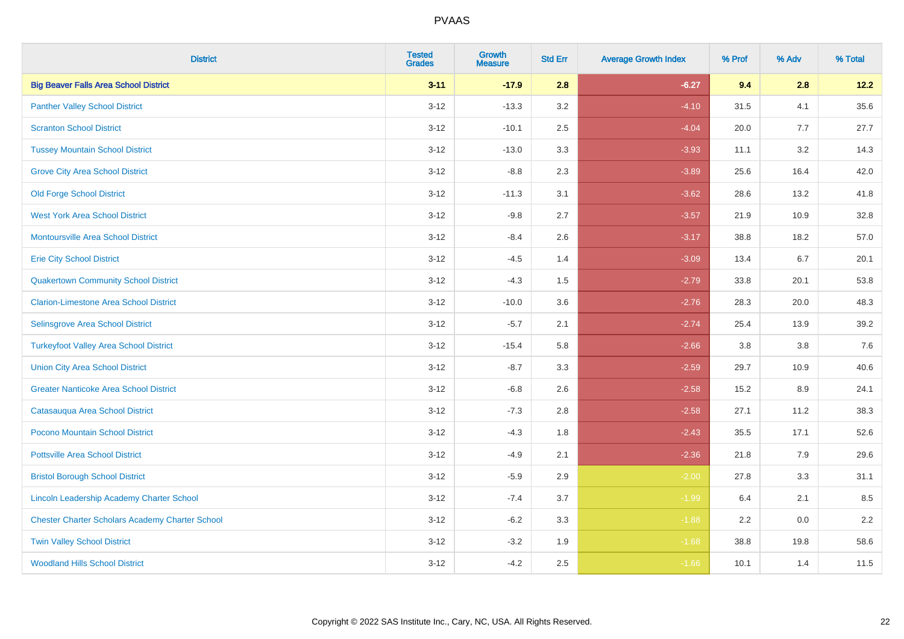| <b>District</b>                                        | <b>Tested</b><br><b>Grades</b> | <b>Growth</b><br><b>Measure</b> | <b>Std Err</b> | <b>Average Growth Index</b> | % Prof | % Adv   | % Total |
|--------------------------------------------------------|--------------------------------|---------------------------------|----------------|-----------------------------|--------|---------|---------|
| <b>Big Beaver Falls Area School District</b>           | $3 - 11$                       | $-17.9$                         | 2.8            | $-6.27$                     | 9.4    | 2.8     | 12.2    |
| <b>Panther Valley School District</b>                  | $3 - 12$                       | $-13.3$                         | 3.2            | $-4.10$                     | 31.5   | 4.1     | 35.6    |
| <b>Scranton School District</b>                        | $3 - 12$                       | $-10.1$                         | 2.5            | $-4.04$                     | 20.0   | 7.7     | 27.7    |
| <b>Tussey Mountain School District</b>                 | $3 - 12$                       | $-13.0$                         | 3.3            | $-3.93$                     | 11.1   | 3.2     | 14.3    |
| <b>Grove City Area School District</b>                 | $3 - 12$                       | $-8.8$                          | 2.3            | $-3.89$                     | 25.6   | 16.4    | 42.0    |
| <b>Old Forge School District</b>                       | $3 - 12$                       | $-11.3$                         | 3.1            | $-3.62$                     | 28.6   | 13.2    | 41.8    |
| <b>West York Area School District</b>                  | $3 - 12$                       | $-9.8$                          | 2.7            | $-3.57$                     | 21.9   | 10.9    | 32.8    |
| <b>Montoursville Area School District</b>              | $3 - 12$                       | $-8.4$                          | 2.6            | $-3.17$                     | 38.8   | 18.2    | 57.0    |
| <b>Erie City School District</b>                       | $3 - 12$                       | $-4.5$                          | 1.4            | $-3.09$                     | 13.4   | 6.7     | 20.1    |
| <b>Quakertown Community School District</b>            | $3-12$                         | $-4.3$                          | 1.5            | $-2.79$                     | 33.8   | 20.1    | 53.8    |
| <b>Clarion-Limestone Area School District</b>          | $3-12$                         | $-10.0$                         | 3.6            | $-2.76$                     | 28.3   | 20.0    | 48.3    |
| Selinsgrove Area School District                       | $3 - 12$                       | $-5.7$                          | 2.1            | $-2.74$                     | 25.4   | 13.9    | 39.2    |
| <b>Turkeyfoot Valley Area School District</b>          | $3 - 12$                       | $-15.4$                         | 5.8            | $-2.66$                     | 3.8    | $3.8\,$ | 7.6     |
| <b>Union City Area School District</b>                 | $3 - 12$                       | $-8.7$                          | 3.3            | $-2.59$                     | 29.7   | 10.9    | 40.6    |
| <b>Greater Nanticoke Area School District</b>          | $3 - 12$                       | $-6.8$                          | 2.6            | $-2.58$                     | 15.2   | 8.9     | 24.1    |
| Catasauqua Area School District                        | $3 - 12$                       | $-7.3$                          | 2.8            | $-2.58$                     | 27.1   | 11.2    | 38.3    |
| Pocono Mountain School District                        | $3 - 12$                       | $-4.3$                          | 1.8            | $-2.43$                     | 35.5   | 17.1    | 52.6    |
| <b>Pottsville Area School District</b>                 | $3 - 12$                       | $-4.9$                          | 2.1            | $-2.36$                     | 21.8   | 7.9     | 29.6    |
| <b>Bristol Borough School District</b>                 | $3-12$                         | $-5.9$                          | 2.9            | $-2.00$                     | 27.8   | 3.3     | 31.1    |
| <b>Lincoln Leadership Academy Charter School</b>       | $3 - 12$                       | $-7.4$                          | 3.7            | $-1.99$                     | 6.4    | 2.1     | 8.5     |
| <b>Chester Charter Scholars Academy Charter School</b> | $3 - 12$                       | $-6.2$                          | 3.3            | $-1.88$                     | 2.2    | 0.0     | 2.2     |
| <b>Twin Valley School District</b>                     | $3 - 12$                       | $-3.2$                          | 1.9            | $-1.68$                     | 38.8   | 19.8    | 58.6    |
| <b>Woodland Hills School District</b>                  | $3-12$                         | $-4.2$                          | 2.5            | $-1.66$                     | 10.1   | 1.4     | 11.5    |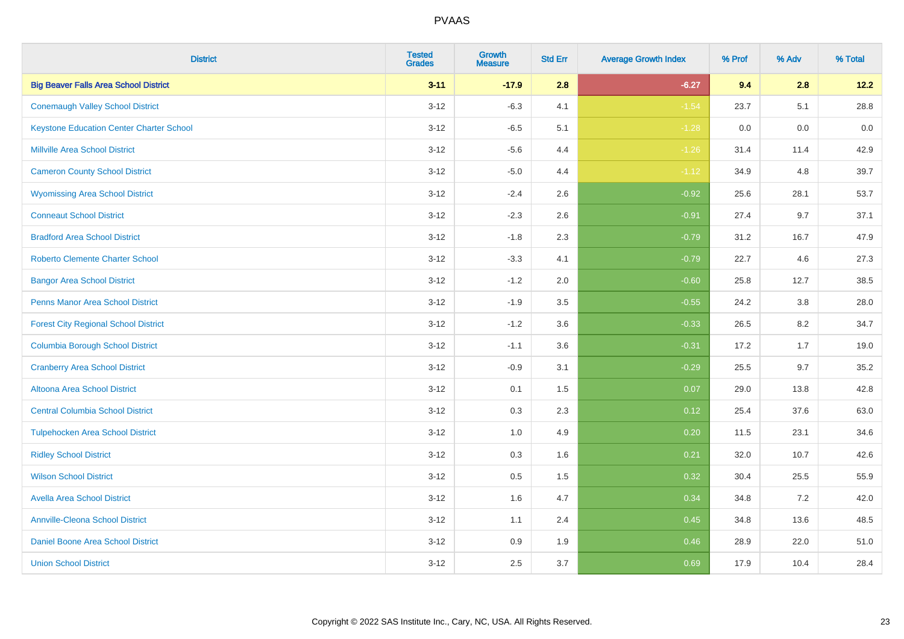| <b>District</b>                                 | <b>Tested</b><br><b>Grades</b> | <b>Growth</b><br><b>Measure</b> | <b>Std Err</b> | <b>Average Growth Index</b> | % Prof | % Adv | % Total |
|-------------------------------------------------|--------------------------------|---------------------------------|----------------|-----------------------------|--------|-------|---------|
| <b>Big Beaver Falls Area School District</b>    | $3 - 11$                       | $-17.9$                         | 2.8            | $-6.27$                     | 9.4    | 2.8   | 12.2    |
| <b>Conemaugh Valley School District</b>         | $3 - 12$                       | $-6.3$                          | 4.1            | $-1.54$                     | 23.7   | 5.1   | 28.8    |
| <b>Keystone Education Center Charter School</b> | $3 - 12$                       | $-6.5$                          | 5.1            | $-1.28$                     | 0.0    | 0.0   | 0.0     |
| <b>Millville Area School District</b>           | $3 - 12$                       | $-5.6$                          | 4.4            | $-1.26$                     | 31.4   | 11.4  | 42.9    |
| <b>Cameron County School District</b>           | $3-12$                         | $-5.0$                          | 4.4            | $-1.12$                     | 34.9   | 4.8   | 39.7    |
| <b>Wyomissing Area School District</b>          | $3 - 12$                       | $-2.4$                          | 2.6            | $-0.92$                     | 25.6   | 28.1  | 53.7    |
| <b>Conneaut School District</b>                 | $3 - 12$                       | $-2.3$                          | 2.6            | $-0.91$                     | 27.4   | 9.7   | 37.1    |
| <b>Bradford Area School District</b>            | $3 - 12$                       | $-1.8$                          | 2.3            | $-0.79$                     | 31.2   | 16.7  | 47.9    |
| <b>Roberto Clemente Charter School</b>          | $3 - 12$                       | $-3.3$                          | 4.1            | $-0.79$                     | 22.7   | 4.6   | 27.3    |
| <b>Bangor Area School District</b>              | $3 - 12$                       | $-1.2$                          | 2.0            | $-0.60$                     | 25.8   | 12.7  | 38.5    |
| <b>Penns Manor Area School District</b>         | $3 - 12$                       | $-1.9$                          | 3.5            | $-0.55$                     | 24.2   | 3.8   | 28.0    |
| <b>Forest City Regional School District</b>     | $3 - 12$                       | $-1.2$                          | 3.6            | $-0.33$                     | 26.5   | 8.2   | 34.7    |
| <b>Columbia Borough School District</b>         | $3 - 12$                       | $-1.1$                          | 3.6            | $-0.31$                     | 17.2   | 1.7   | 19.0    |
| <b>Cranberry Area School District</b>           | $3 - 12$                       | $-0.9$                          | 3.1            | $-0.29$                     | 25.5   | 9.7   | 35.2    |
| Altoona Area School District                    | $3 - 12$                       | 0.1                             | 1.5            | 0.07                        | 29.0   | 13.8  | 42.8    |
| <b>Central Columbia School District</b>         | $3 - 12$                       | 0.3                             | 2.3            | 0.12                        | 25.4   | 37.6  | 63.0    |
| <b>Tulpehocken Area School District</b>         | $3 - 12$                       | 1.0                             | 4.9            | 0.20                        | 11.5   | 23.1  | 34.6    |
| <b>Ridley School District</b>                   | $3 - 12$                       | 0.3                             | 1.6            | 0.21                        | 32.0   | 10.7  | 42.6    |
| <b>Wilson School District</b>                   | $3 - 12$                       | $0.5\,$                         | 1.5            | 0.32                        | 30.4   | 25.5  | 55.9    |
| <b>Avella Area School District</b>              | $3 - 12$                       | 1.6                             | 4.7            | 0.34                        | 34.8   | 7.2   | 42.0    |
| <b>Annville-Cleona School District</b>          | $3 - 12$                       | 1.1                             | 2.4            | 0.45                        | 34.8   | 13.6  | 48.5    |
| Daniel Boone Area School District               | $3 - 12$                       | $0.9\,$                         | 1.9            | 0.46                        | 28.9   | 22.0  | 51.0    |
| <b>Union School District</b>                    | $3-12$                         | 2.5                             | 3.7            | 0.69                        | 17.9   | 10.4  | 28.4    |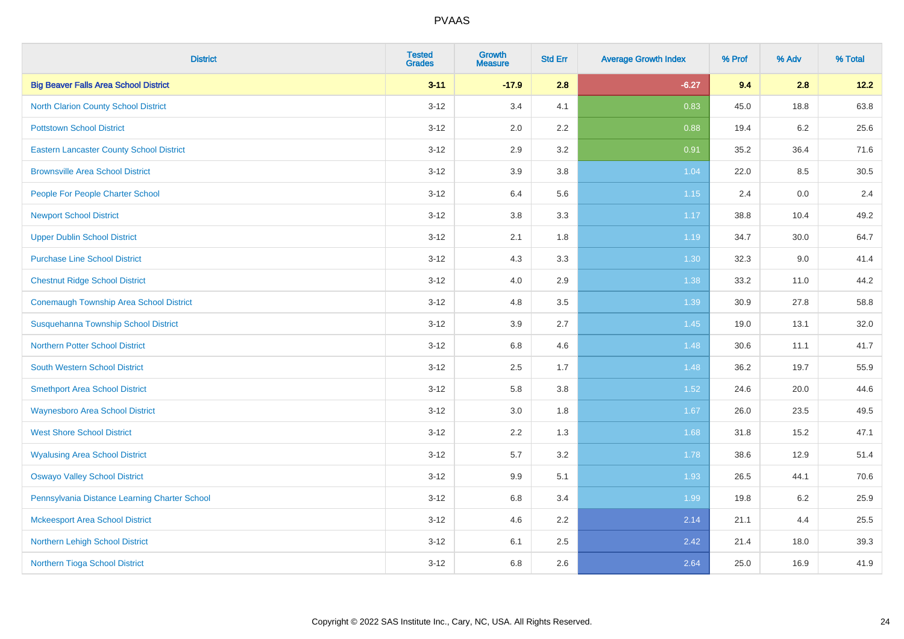| <b>District</b>                                 | <b>Tested</b><br><b>Grades</b> | Growth<br><b>Measure</b> | <b>Std Err</b> | <b>Average Growth Index</b> | % Prof | % Adv   | % Total |
|-------------------------------------------------|--------------------------------|--------------------------|----------------|-----------------------------|--------|---------|---------|
| <b>Big Beaver Falls Area School District</b>    | $3 - 11$                       | $-17.9$                  | 2.8            | $-6.27$                     | 9.4    | 2.8     | 12.2    |
| North Clarion County School District            | $3 - 12$                       | 3.4                      | 4.1            | 0.83                        | 45.0   | 18.8    | 63.8    |
| <b>Pottstown School District</b>                | $3 - 12$                       | 2.0                      | 2.2            | 0.88                        | 19.4   | 6.2     | 25.6    |
| <b>Eastern Lancaster County School District</b> | $3 - 12$                       | 2.9                      | 3.2            | 0.91                        | 35.2   | 36.4    | 71.6    |
| <b>Brownsville Area School District</b>         | $3 - 12$                       | 3.9                      | 3.8            | 1.04                        | 22.0   | 8.5     | 30.5    |
| People For People Charter School                | $3 - 12$                       | 6.4                      | 5.6            | $1.15$                      | 2.4    | $0.0\,$ | 2.4     |
| <b>Newport School District</b>                  | $3 - 12$                       | $3.8\,$                  | 3.3            | 1.17                        | 38.8   | 10.4    | 49.2    |
| <b>Upper Dublin School District</b>             | $3 - 12$                       | 2.1                      | 1.8            | 1.19                        | 34.7   | 30.0    | 64.7    |
| <b>Purchase Line School District</b>            | $3 - 12$                       | 4.3                      | 3.3            | 1.30                        | 32.3   | 9.0     | 41.4    |
| <b>Chestnut Ridge School District</b>           | $3 - 12$                       | 4.0                      | 2.9            | 1.38                        | 33.2   | 11.0    | 44.2    |
| Conemaugh Township Area School District         | $3 - 12$                       | 4.8                      | 3.5            | 1.39                        | 30.9   | 27.8    | 58.8    |
| Susquehanna Township School District            | $3 - 12$                       | 3.9                      | 2.7            | 1.45                        | 19.0   | 13.1    | 32.0    |
| Northern Potter School District                 | $3 - 12$                       | 6.8                      | 4.6            | 1.48                        | 30.6   | 11.1    | 41.7    |
| <b>South Western School District</b>            | $3 - 12$                       | 2.5                      | 1.7            | 1.48                        | 36.2   | 19.7    | 55.9    |
| <b>Smethport Area School District</b>           | $3 - 12$                       | 5.8                      | 3.8            | 1.52                        | 24.6   | 20.0    | 44.6    |
| <b>Waynesboro Area School District</b>          | $3 - 12$                       | 3.0                      | 1.8            | 1.67                        | 26.0   | 23.5    | 49.5    |
| <b>West Shore School District</b>               | $3 - 12$                       | 2.2                      | 1.3            | 1.68                        | 31.8   | 15.2    | 47.1    |
| <b>Wyalusing Area School District</b>           | $3 - 12$                       | 5.7                      | 3.2            | 1.78                        | 38.6   | 12.9    | 51.4    |
| <b>Oswayo Valley School District</b>            | $3 - 12$                       | 9.9                      | 5.1            | 1.93                        | 26.5   | 44.1    | 70.6    |
| Pennsylvania Distance Learning Charter School   | $3 - 12$                       | 6.8                      | 3.4            | 1.99                        | 19.8   | 6.2     | 25.9    |
| <b>Mckeesport Area School District</b>          | $3 - 12$                       | 4.6                      | 2.2            | 2.14                        | 21.1   | 4.4     | 25.5    |
| Northern Lehigh School District                 | $3 - 12$                       | 6.1                      | 2.5            | 2.42                        | 21.4   | 18.0    | 39.3    |
| Northern Tioga School District                  | $3 - 12$                       | 6.8                      | 2.6            | 2.64                        | 25.0   | 16.9    | 41.9    |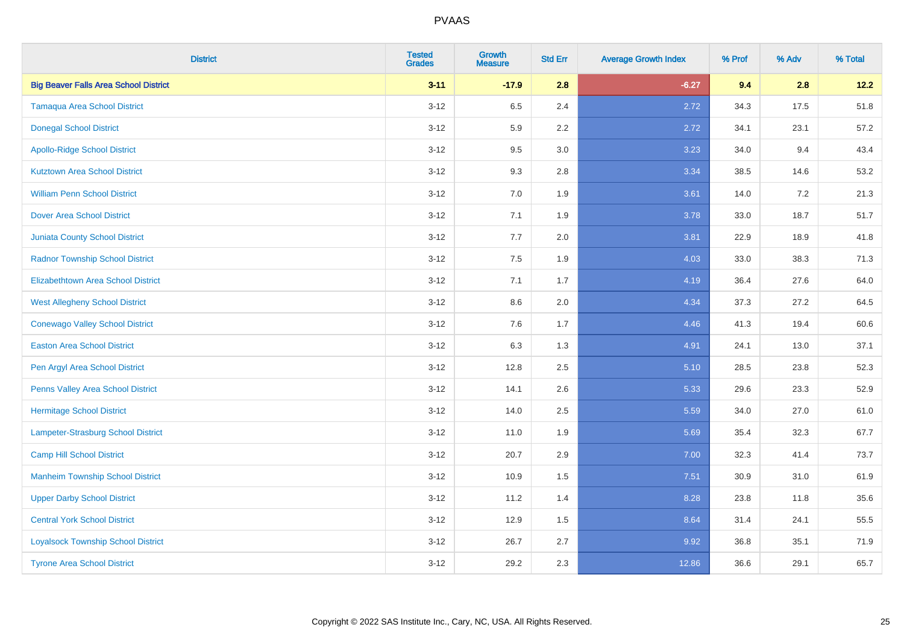| <b>District</b>                              | <b>Tested</b><br><b>Grades</b> | <b>Growth</b><br><b>Measure</b> | <b>Std Err</b> | <b>Average Growth Index</b> | % Prof | % Adv | % Total |
|----------------------------------------------|--------------------------------|---------------------------------|----------------|-----------------------------|--------|-------|---------|
| <b>Big Beaver Falls Area School District</b> | $3 - 11$                       | $-17.9$                         | 2.8            | $-6.27$                     | 9.4    | 2.8   | 12.2    |
| <b>Tamaqua Area School District</b>          | $3 - 12$                       | 6.5                             | 2.4            | 2.72                        | 34.3   | 17.5  | 51.8    |
| <b>Donegal School District</b>               | $3 - 12$                       | 5.9                             | 2.2            | 2.72                        | 34.1   | 23.1  | 57.2    |
| <b>Apollo-Ridge School District</b>          | $3 - 12$                       | 9.5                             | 3.0            | 3.23                        | 34.0   | 9.4   | 43.4    |
| <b>Kutztown Area School District</b>         | $3 - 12$                       | 9.3                             | 2.8            | 3.34                        | 38.5   | 14.6  | 53.2    |
| <b>William Penn School District</b>          | $3 - 12$                       | 7.0                             | 1.9            | 3.61                        | 14.0   | 7.2   | 21.3    |
| <b>Dover Area School District</b>            | $3-12$                         | 7.1                             | 1.9            | 3.78                        | 33.0   | 18.7  | 51.7    |
| <b>Juniata County School District</b>        | $3 - 12$                       | 7.7                             | 2.0            | 3.81                        | 22.9   | 18.9  | 41.8    |
| <b>Radnor Township School District</b>       | $3 - 12$                       | 7.5                             | 1.9            | 4.03                        | 33.0   | 38.3  | 71.3    |
| <b>Elizabethtown Area School District</b>    | $3 - 12$                       | 7.1                             | 1.7            | 4.19                        | 36.4   | 27.6  | 64.0    |
| <b>West Allegheny School District</b>        | $3 - 12$                       | 8.6                             | 2.0            | 4.34                        | 37.3   | 27.2  | 64.5    |
| <b>Conewago Valley School District</b>       | $3 - 12$                       | 7.6                             | 1.7            | 4.46                        | 41.3   | 19.4  | 60.6    |
| <b>Easton Area School District</b>           | $3 - 12$                       | 6.3                             | 1.3            | 4.91                        | 24.1   | 13.0  | 37.1    |
| Pen Argyl Area School District               | $3 - 12$                       | 12.8                            | 2.5            | 5.10                        | 28.5   | 23.8  | 52.3    |
| Penns Valley Area School District            | $3 - 12$                       | 14.1                            | 2.6            | 5.33                        | 29.6   | 23.3  | 52.9    |
| Hermitage School District                    | $3 - 12$                       | 14.0                            | 2.5            | 5.59                        | 34.0   | 27.0  | 61.0    |
| Lampeter-Strasburg School District           | $3 - 12$                       | 11.0                            | 1.9            | 5.69                        | 35.4   | 32.3  | 67.7    |
| <b>Camp Hill School District</b>             | $3 - 12$                       | 20.7                            | 2.9            | 7.00                        | 32.3   | 41.4  | 73.7    |
| <b>Manheim Township School District</b>      | $3 - 12$                       | 10.9                            | 1.5            | 7.51                        | 30.9   | 31.0  | 61.9    |
| <b>Upper Darby School District</b>           | $3-12$                         | 11.2                            | 1.4            | 8.28                        | 23.8   | 11.8  | 35.6    |
| <b>Central York School District</b>          | $3 - 12$                       | 12.9                            | 1.5            | 8.64                        | 31.4   | 24.1  | 55.5    |
| <b>Loyalsock Township School District</b>    | $3 - 12$                       | 26.7                            | 2.7            | 9.92                        | 36.8   | 35.1  | 71.9    |
| <b>Tyrone Area School District</b>           | $3 - 12$                       | 29.2                            | 2.3            | 12.86                       | 36.6   | 29.1  | 65.7    |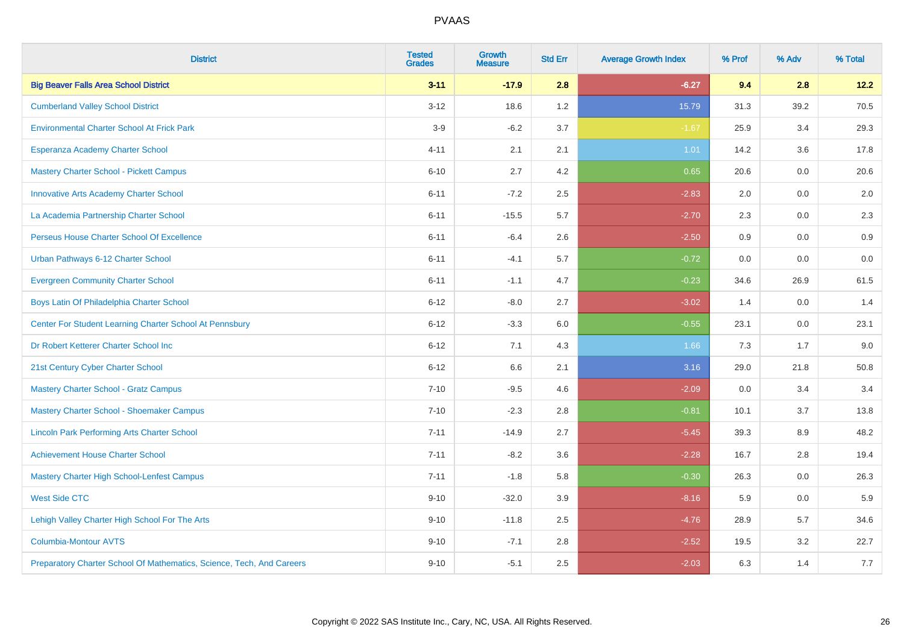| <b>District</b>                                                       | <b>Tested</b><br><b>Grades</b> | <b>Growth</b><br><b>Measure</b> | <b>Std Err</b> | <b>Average Growth Index</b> | % Prof | % Adv | % Total |
|-----------------------------------------------------------------------|--------------------------------|---------------------------------|----------------|-----------------------------|--------|-------|---------|
| <b>Big Beaver Falls Area School District</b>                          | $3 - 11$                       | $-17.9$                         | 2.8            | $-6.27$                     | 9.4    | 2.8   | 12.2    |
| <b>Cumberland Valley School District</b>                              | $3 - 12$                       | 18.6                            | 1.2            | 15.79                       | 31.3   | 39.2  | 70.5    |
| <b>Environmental Charter School At Frick Park</b>                     | $3-9$                          | $-6.2$                          | 3.7            | $-1.67$                     | 25.9   | 3.4   | 29.3    |
| Esperanza Academy Charter School                                      | $4 - 11$                       | 2.1                             | 2.1            | 1.01                        | 14.2   | 3.6   | 17.8    |
| <b>Mastery Charter School - Pickett Campus</b>                        | $6 - 10$                       | 2.7                             | 4.2            | 0.65                        | 20.6   | 0.0   | 20.6    |
| <b>Innovative Arts Academy Charter School</b>                         | $6 - 11$                       | $-7.2$                          | 2.5            | $-2.83$                     | 2.0    | 0.0   | 2.0     |
| La Academia Partnership Charter School                                | $6 - 11$                       | $-15.5$                         | 5.7            | $-2.70$                     | 2.3    | 0.0   | 2.3     |
| Perseus House Charter School Of Excellence                            | $6 - 11$                       | $-6.4$                          | 2.6            | $-2.50$                     | 0.9    | 0.0   | 0.9     |
| Urban Pathways 6-12 Charter School                                    | $6 - 11$                       | $-4.1$                          | 5.7            | $-0.72$                     | 0.0    | 0.0   | $0.0\,$ |
| <b>Evergreen Community Charter School</b>                             | $6 - 11$                       | $-1.1$                          | 4.7            | $-0.23$                     | 34.6   | 26.9  | 61.5    |
| Boys Latin Of Philadelphia Charter School                             | $6 - 12$                       | $-8.0$                          | 2.7            | $-3.02$                     | 1.4    | 0.0   | 1.4     |
| Center For Student Learning Charter School At Pennsbury               | $6 - 12$                       | $-3.3$                          | 6.0            | $-0.55$                     | 23.1   | 0.0   | 23.1    |
| Dr Robert Ketterer Charter School Inc                                 | $6 - 12$                       | 7.1                             | 4.3            | 1.66                        | 7.3    | 1.7   | 9.0     |
| 21st Century Cyber Charter School                                     | $6 - 12$                       | 6.6                             | 2.1            | 3.16                        | 29.0   | 21.8  | 50.8    |
| <b>Mastery Charter School - Gratz Campus</b>                          | $7 - 10$                       | $-9.5$                          | 4.6            | $-2.09$                     | 0.0    | 3.4   | 3.4     |
| Mastery Charter School - Shoemaker Campus                             | $7 - 10$                       | $-2.3$                          | 2.8            | $-0.81$                     | 10.1   | 3.7   | 13.8    |
| <b>Lincoln Park Performing Arts Charter School</b>                    | $7 - 11$                       | $-14.9$                         | 2.7            | $-5.45$                     | 39.3   | 8.9   | 48.2    |
| <b>Achievement House Charter School</b>                               | $7 - 11$                       | $-8.2$                          | 3.6            | $-2.28$                     | 16.7   | 2.8   | 19.4    |
| <b>Mastery Charter High School-Lenfest Campus</b>                     | $7 - 11$                       | $-1.8$                          | 5.8            | $-0.30$                     | 26.3   | 0.0   | 26.3    |
| <b>West Side CTC</b>                                                  | $9 - 10$                       | $-32.0$                         | 3.9            | $-8.16$                     | 5.9    | 0.0   | 5.9     |
| Lehigh Valley Charter High School For The Arts                        | $9 - 10$                       | $-11.8$                         | 2.5            | $-4.76$                     | 28.9   | 5.7   | 34.6    |
| <b>Columbia-Montour AVTS</b>                                          | $9 - 10$                       | $-7.1$                          | 2.8            | $-2.52$                     | 19.5   | 3.2   | 22.7    |
| Preparatory Charter School Of Mathematics, Science, Tech, And Careers | $9 - 10$                       | $-5.1$                          | 2.5            | $-2.03$                     | 6.3    | 1.4   | 7.7     |